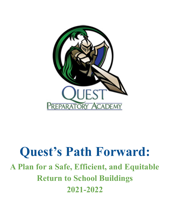

# **Quest's Path Forward: A Plan for a Safe, Efficient, and Equitable Return to School Buildings 2021-2022**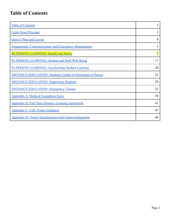### **Table of Contents**

| <b>Table of Contents</b>                                            | $\overline{2}$ |
|---------------------------------------------------------------------|----------------|
| <b>Letter from Principal</b>                                        | 3              |
| <b>Quest's Plan and Layout</b>                                      | 4              |
| <b>Engagement, Communication, and Emergency Management</b>          | 5              |
| <b>IN PERSON LEARNING: Health and Safety</b>                        | 7              |
| <b>IN PERSON LEARNING: Student and Staff Well Being</b>             | 17             |
| <b>IN PERSON LEARNING: Accelerating Student Learning</b>            | 20             |
| <b>DISTANCE EDUCATION: Students Unable to Participate in Person</b> | 22             |
| <b>DISTANCE EDUCATION: Supporting Students</b>                      | 29             |
| <b>DISTANCE EDUCATION: Emergency Closure</b>                        | 32             |
| <b>Appendix A: Medical Exemption Form</b>                           | 39             |
| <b>Appendix B: Full Time Distance Learning Agreement</b>            | 41             |
| <b>Appendix C: CDC Poster Guidance</b>                              | 47             |
| <b>Appendix D: Visitor Questionnaire and Acknowledgement</b>        | 48             |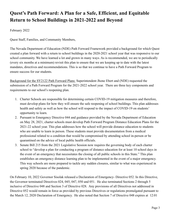### **Quest's Path Forward: A Plan for a Safe, Efficient, and Equitable Return to School Buildings in 2021-2022 and Beyond**

February 2022

Quest Staff, Families, and Community Members,

The Nevada Department of Education (NDE) Path Forward Framework provided a background for which Quest created a plan forward with a return to school buildings in the 2020-2021 school year that was responsive to our school community. We have learned a lot and grown in many ways. As is recommended, we are to periodically (every six months at a minimum) revisit this plan to ensure that we are keeping up to date with the latest mandates, directives and recommendations. This is so that we continue to have a Path Forward Program to ensure success for our students.

Background for the SY2122 Path Forward Plans: Superintendent Jhone Ebert and (NDE) requested the submission of a Path Forward Program for the 2021-2022 school year. There are three key components and requirements to our school's reopening plan.

- 1. Charter Schools are responsible for determining certain COVID-19 mitigation measures and therefore, must develop plans for how they will ensure the safe reopening of school buildings. This plan addresses health and safety as well as how the school will respond to the impact of COVID-19 on students' opportunity to learn.
- 2. Pursuant to Emergency Directive 044 and guidance provided by the Nevada Department of Education on May 28, 2021, charter schools must develop Path Forward Program Distance Education Plans for the 2021-22 school year. This plan addresses how the school will provide distance education to students who are unable to learn in person. These students must provide documentation from a medical professional related to a condition that would be compromised by attending school in-person or be quarantined on the advice of local public health officials.
- 3. Senate Bill 215 from the 2021 Legislative Session now requires the governing body of each charter school to "develop a plan for conducting a program of distance education for at least 10 school days in the event of an emergency that necessitates the closing of all public schools in this State." This plan establishes an emergency distance learning plan to be implemented in the event of a major emergency. This way schools are more prepared to tackle any sudden closures, similar to what was experienced in spring 2020 because of the pandemic.

On February 10, 2022 Governor Sisolak released a Declaration of Emergency- Directive 052. In this Directive, the Governor terminated Directives 024, 045, 047, 050 and 051. He also terminated Sections 2 through 5 inclusive of Directive 048 and Section 3 of Directive 028. Any provisions of all Directives not addressed in Directive 052 would remain in force as provided by previous Directives or regulations promulgated pursuant to the March 12, 2020 Declaration of Emergency. He also noted that Section 7 of Directive 048 expires at 12:01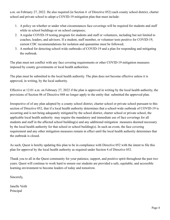a.m. on February 27, 2022. He also required (in Section 4 of Directive 052) each county school district, charter school and private school to adopt a COVID-19 mitigation plan that must include:

- 1. A policy on whether or under what circumstances face coverings will be required for students and staff while in school buildings or on school campuses;
- 2. A regular COVID-19 testing program for students and staff or volunteers, including but not limited to coaches, leaders, and advisors. If a student, staff member, or volunteer tests positive for COVID-19, current CDC recommendations for isolation and quarantine must be followed;
- 3. A method for detecting school-wide outbreaks of COVID-19 and a plan for responding and mitigating the outbreak.

The plan must not conflict with any face covering requirements or other COVID-19 mitigation measures imposed by county governments or local health authorities.

The plan must be submitted to the local health authority. The plan does not become effective unless it is approved, in writing, by the local authority.

Effective at 12:01 a.m. on February 27, 2022 if the plan is approved in writing by the local health authority, the provisions of Section 06 of Directive 048 no longer apply to the entity that submitted the approved plan.

Irrespective of of any plan adopted by a county school district, charter school or private school pursuant to this section of Directive 052, that if a local health authority determines that a school-wide outbreak of COVID-19 is occurring and is not being adequately mitigated by the school district, charter school or private school, the applicable local health authority may require the mandatory and immediate use of face coverings for all students and staff in the affected school building(s) and any additional mitigation measures deemed necessary by the local health authority for that school or school building(s). In such an event, the face covering requirement and any other mitigation measures remain in effect until the local health authority determines that the outbreak is closed.

As such, Quest is hereby updating this plan to be in compliance with Directive 052 with the intent to file this plan for approval by the local health authority as required under Section 4 of Directive 052.

Thank you to all in the Quest community for your patience, support, and positive spirit throughout the past two years. Quest will continue to work hard to ensure our students are provided a safe, equitable, and accessible learning environment to become leaders of today and tomorrow.

Sincerely,

Janelle Veith Principal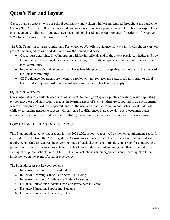### **Quest's Plan and Layout**

Quest's plan is responsive to our school community and written with lessons learned throughout the pandemic. On July 9th, 2021, the CDC issued updated guidance on safe school openings, which have been incorporated in this document. Additionally, updates have been included based on the requirements of Section 4 of Directive 052 which was issued on February 10, 2021.

The U.S. Center for Disease Control and Prevention (CDC) offers guidance for ways in which schools can help protect students, educators, and staff and slow the spread of disease.

- Ouest must determine, in collaboration with health officials and to the extent possible, whether and how to implement these considerations while adjusting to meet the unique needs and circumstances of our local community.
- Implementation should be guided by what is feasible, practical, acceptable, and tailored to the needs of the Quest community.
- CDC guidance documents are meant to supplement, not replace, any state, local, territorial, or tribal health and safety laws, rules, and regulations with which schools must comply.

#### EQUITY STATEMENT

Quest advocates for equitable access for all students to the highest quality public education, while supporting school educators and staff. Equity means the learning needs of every student are supported in an environment where all students are valued, respected, and see themselves in their curriculum and instructional materials while experiencing academic success without regard to differences in age, gender, socio-economic status, religion, race, ethnicity, sexual orientation, ability, native language, national origin, or citizenship status.

#### HOW TO USE THE PLAN AND ITS LAYOUT

This Plan intends to cover major areas for the 2021-2022 school year as well as the new requirements set forth in Senate Bill 215 from the 2021 Legislative Session as well as any local health district or State or Federal requirements. SB 215 requires the governing body of each charter school to "develop a plan for conducting a program of distance education for at least 10 school days in the event of an emergency that necessitates the closing of all public schools in this State." This plan establishes an emergency distance learning plan to be implemented in the event of a major emergency.

The Plan addresses six key components:

- 1. In Person Learning: Health and Safety
- 2. In Person Learning: Student and Staff Well Being
- 3. In Person Learning: Accelerating Student Learning
- 4. Distance Education: Students Unable to Participate in Person
- 5. Distance Education: Supporting Students
- 6. Distance Education: Emergency Closure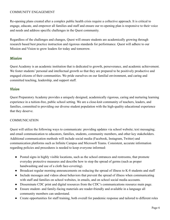#### COMMUNITY ENGAGEMENT

Re-opening plans created after a complex public health crisis require a collective approach. It is critical to engage, educate, and empower all families and staff and ensure our re-opening plan is responsive to their voice and needs and address specific challenges in the Quest community.

Regardless of the challenges and changes, Quest will ensure students are academically growing through research based best practice instruction and rigorous standards for performance. Quest will adhere to our Mission and Vision to grow leaders for today and tomorrow.

#### *Mission*

Quest Academy is an academic institution that is dedicated to growth, perseverance, and academic achievement. We foster students' personal and intellectual growth so that they are prepared to be positively productive and engaged citizens of their communities. We pride ourselves on our familial environment, and caring and committed teaching, leadership, and support staff.

#### *Vision*

Quest Preparatory Academy provides a uniquely designed, academically rigorous, caring and nurturing learning experience in a tuition-free, public school setting. We are a close-knit community of teachers, leaders, and families, committed to providing our diverse student population with the high-quality educational experience that they deserve.

#### **COMMUNICATION**

Quest will utilize the following ways to communicate: providing updates via school website; text messaging; and email communication to educators, families, students, community members, and other key stakeholders. Additional communication methods will include social media (Facebook, Instagram, Twitter) and communication platforms such as Infinite Campus and Microsoft Teams. Consistent, accurate information regarding policies and procedures is needed to keep everyone informed:

- Posted signs in highly visible locations, such as the school entrances and restrooms, that promote everyday protective measures and describe how to stop the spread of germs (such as proper handwashing and use of a cloth face-covering).
- Broadcast regular morning announcements on reducing the spread of illness to K-8 students and staff
- Include messages and videos about behaviors that prevent the spread of illness when communicating with staff and families on school websites, in emails, and on school social media accounts.
- Disseminate CDC print and digital resources from the CDC's communications resource main page.
- Ensure student- and family-facing materials are reader-friendly and available in a language all community members can understand.
- Create opportunities for staff training, both overall for pandemic response and tailored to different roles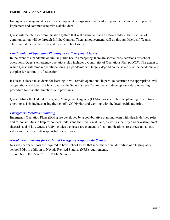#### EMERGENCY MANAGEMENT

Emergency management is a critical component of organizational leadership and a plan must be in place to implement and communicate with stakeholders.

Quest will maintain a communication system that will ensure to reach all stakeholders. The first line of communication will be through Infinite Campus. Then, announcements will go through Microsoft Teams. Third, social media platforms and then the school website.

#### *Continuation of Operations Planning in an Emergency Closure*

In the event of a pandemic or similar public health emergency, there are special considerations for school operations. Quest's emergency operations plan includes a Continuity of Operations Plan (COOP). The extent to which Quest will remain operational during a pandemic will largely depend on the severity of the pandemic and our plan for continuity of education.

If Quest is closed to students for learning, it will remain operational in part. To determine the appropriate level of operations and to ensure functionality, the School Safety Committee will develop a standard operating procedure for essential functions and processes.

Quest utilizes the Federal Emergency Management Agency (FEMA) for instruction on planning for continued operations. This includes using the school's COOP plan and working with the local health authority.

#### *Emergency Operations Planning*

Emergency Operation Plans (EOPs) are developed by a collaborative planning team with clearly defined roles and responsibilities to help responders understand the situation at hand, as well as identify and prioritize threats (hazards and risks). Quest's EOP includes the necessary elements of: communications, resources and assets, safety and security, staff responsibilities, utilities.

#### *Nevada Requirements for Crisis and Emergency Response for Schools*

Nevada charter schools are required to have school EOPs that meet the federal definition of a high-quality school EOP; in addition to Nevada Revised Statutes (NRS) requirements.

 $\bullet$  NRS 388.229-26 Public Schools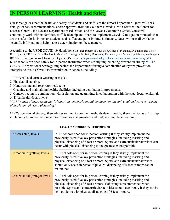### **IN PERSON LEARNING: Health and Safety**

Quest recognizes that the health and safety of students and staff is of the utmost importance. Quest will seek data, guidance, recommendations, and/or approval from the Southern Nevada Health District, the Center for Disease Control, the Nevada Department of Education, and the Nevada Governor's Office. Quest will continually work with its families, staff, leadership and Board to implement Covid-19 mitigation protocols that are the safest for its in-person students and staff at any point in time. Ultimately, Quest will use all available scientific information to help make a determination on these matters.

According to the USDE COVID-19 Handbook (U.S. Department of Education, Office of Planning, Evaluation and Policy Development, ED COVID-19 Handbook, Volume 1: Strategies for Safely Reopening Elementary and Secondary Schools, Washington, DC, 2021. This report is available on the Department's website at https://www2.ed.gov/documents/coronavirus/reopening.pdf), K-12 schools can open safely for in-person instruction when strictly implementing prevention strategies. The CDC K-12 Operational Strategy emphasizes the importance of using a combination of layered prevention strategies to avoid COVID-19 transmission in schools, including:

- 1. Universal and correct wearing of masks.
- 2. Physical distancing.
- 3. Handwashing and respiratory etiquette
- 4. Cleaning and maintaining healthy facilities, including ventilation improvements.

5. Contact tracing in combination with isolation and quarantine, in collaboration with the state, local, territorial, or Tribal health departments.

\*"*While each of these strategies is important, emphasis should be placed on the universal and correct wearing of masks and physical distancing.*"

CDC's operational strategy then advises on how to use the thresholds determined by these metrics as a first step in planning to implement prevention strategies in elementary and middle school level learning:

| <b>Levels of Community Transmission</b> |                                                                                                                                                                                                                                                                                                                                                                             |  |  |
|-----------------------------------------|-----------------------------------------------------------------------------------------------------------------------------------------------------------------------------------------------------------------------------------------------------------------------------------------------------------------------------------------------------------------------------|--|--|
| At low (blue) levels                    | K-12 schools open for in-person learning if they strictly implement the<br>previously listed five key prevention strategies, including masking and<br>physical distancing of 3 feet or more. Sports and extracurricular activities can<br>occur with physical distancing to the greatest extent possible.                                                                   |  |  |
| At moderate (yellow) levels             | K-12 schools open for in-person learning if they strictly implement the<br>previously listed five key prevention strategies, including masking and<br>physical distancing of 3 feet or more. Sports and extracurricular activities<br>should only occur in person if physical distancing of 6 feet or more can be<br>maintained.                                            |  |  |
| At substantial (orange) levels          | K-12 schools open for in-person learning if they strictly implement the<br>previously listed five key prevention strategies, including masking and<br>physical distancing of 3 feet or more. Cohorting is recommended when<br>possible. Sports and extracurricular activities should occur only if they can be<br>held outdoors with physical distancing of 6 feet or more. |  |  |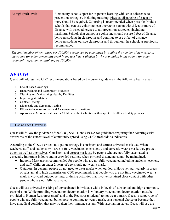*The total number of new cases per 100,000 people can be calculated by adding the number of new cases in the county (or other community type) in the last 7 days divided by the population in the county (or other community type) and multiplying by 100,000*

### *HEALTH*

Quest will address key CDC recommendations based on the current guidance in the following health areas:

- 1. Use of Face Coverings
- 2. Handwashing and Respiratory Etiquette
- 3. Cleaning and Maintaining Healthy Facilities
- 4. Improving Ventilation
- 5. Contact Tracing
- 6. Diagnostic and Screening Testing
- 7. Efforts to Increase Access and Awareness to Vaccinations
- 8. Appropriate Accommodations for Children with Disabilities with respect to health and safety policies

#### **1. Use of Face Coverings**

Quest will follow the guidance of the CDC, SNHD, and SPCSA for guidelines requiring face coverings with awareness of the current level of community spread using CDC thresholds as indicators.

According to the CDC, a critical mitigation strategy is consistent and correct universal mask use. When teachers, staff, and students who are not fully vaccinated consistently and correctly wear a mask, they protect others as well as themselves. Consistent and correct mask use by people who are not fully vaccinated is especially important indoors and in crowded settings, when physical distancing cannot be maintained.

- Indoors: Mask use is recommended for people who are not fully vaccinated including students, teachers, and staff. Children under 2 years of age should not wear a mask.
- Outdoors: In general, people do not need to wear masks when outdoors. However, particularly in areas of substantial to high transmission, CDC recommends that people who are not fully vaccinated wear a mask in crowded outdoor settings or during activities that involve sustained close contact with other people who are not fully vaccinated.

Quest will use universal masking of unvaccinated individuals while in levels of substantial and high community transmission. While providing vaccination documentation is voluntary, vaccination documentation must be provided to Human Resources (staff) and to the Registrar (students) to not wear a mask. Quest is supportive of people who are fully vaccinated, but choose to continue to wear a mask, as a personal choice or because they have a medical condition that may weaken their immune system. With vaccination status, Quest will use the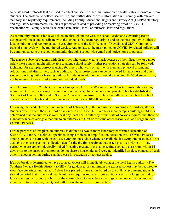same standard protocols that are used to collect and secure other immunization or health status information from students. The protocol to collect, secure, use, and further disclose this information will comply with relevant statutory and regulatory requirements, including Family Educational Rights and Privacy Act (FERPA) statutory and regulatory requirements. Policies or practices related to providing or receiving proof of COVID-19 vaccination will comply with all relevant state, tribal, local, or territorial laws and regulations.

As community transmission levels fluctuate throughout the year, the school leader and Governing Board designee will meet and coordinate with the school safety team regularly to update the mask policy to adjust to local conditions and recommendations/requirements of the SNHD, state of Nevada, and CDC. Community transmission levels will be monitored weekly. Any update to the mask policy or COVID-19 related policies will be communicated to the school community through a schoolwide email and notice home to parents.

The narrow subset of students with disabilities who cannot wear a mask because of their disability, or cannot safely wear a mask, might still be able to attend school safely if other prevention strategies can be followed, including, for example, correct masking for others who work or learn with them and physical distancing. Adaptations and alternatives, such as additional facial protections can be considered for educators and other students working with or learning with such students in addition to physical distancing. IEP/504 students may not be required to wear masks based on individual needs.

As of February 10, 2022, the Governor's Emergency Directive 052 in Section 3 has terminated the existing requirement of face coverings in county school districts, charter schools and private schools established in Section 4 of Directive 028 and in Sections 2 through 5, inclusive, of Directive 048, which applied to school districts, charter schools and private schools in counties of 100,000 or more.

Following that lead, Quest will no longer as of February 11, 2022 require face coverings for visitors, staff or students except where there is proof of an outbreak of COVID-19 in one or more campus buildings until it is determined that the outbreak is over, or if any local health authority or the state of Nevada requires that there be mandatory face coverings either due to an outbreak at Quest or for some other reason such as a surge in local COVID-19 cases.

For the purposes of this plan, an outbreak is defined as **two** or more laboratory confirmed (detection of SARS-CoV-2 RNA in a clinical specimen using a molecular amplification detection test.) COVID-19 cases among students or staff with onsets (use symptom onset date whenever available, if a symptom onset date is not available then use specimen collection date for the the first specimen that tested positive) within a 14-day period, who are epidemiologically linked (meaning present in the same setting such as a classroom within 14 days prior to the onset of symptoms), do not share a household, and were not identified as close contacts of each other in another setting during standard case investigation or contact tracing.

If an outbreak is determined to have occurred, Quest will immediately contact the local health authority,The Southern Nevada Health District (SNHD), for guidance. At a minimum the exposed cohort may be required to wear face coverings until at least 5 days have passed or quarantine based on the SNHD recommendations. It should be noted that if the local health authority requires more restrictive actions, such as a longer period for face coverings, or for more cohorts or the entire school to wear face coverings or be quarantined or another more restrictive measure, then Quest will follow the more restrictive action.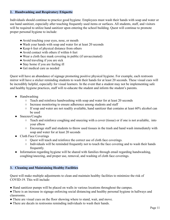#### **2. Handwashing and Respiratory Etiquette**

Individuals should continue to practice good hygiene. Employees must wash their hands with soap and water or use hand sanitizer, especially after touching frequently used items or surfaces. All students, staff, and visitors will be required to utilize hand sanitizer upon entering the school building. Ouest will continue to promote proper personal hygiene to include:

- Avoid touching your eyes, nose, or mouth
- Wash your hands with soap and water for at least 20 seconds
- Keep 6 feet of physical distance from others
- Avoid contact with others if within 6 feet
- Wear a cloth face mask covering in public (if unvaccinated)
- Avoid traveling if you are sick
- Stay home if you are feeling ill
- Get medical care as needed

Quest will have an abundance of signage promoting positive physical hygiene. For example, each restroom mirror will have a sticker reminding students to wash their hands for at least 20 seconds. These visual cues will be incredibly helpful, especially for visual learners. In the event that a student may not be implementing safe and healthy hygiene practices, staff will re-educate the student and inform the student's parents.

- Handwashing
	- Teach and reinforce handwashing with soap and water for at least 20 seconds
	- Increase monitoring to ensure adherence among students and staff
	- If soap and water are not readily available, hand sanitizer that contains at least 60% alcohol can be used
- Sneezes/Coughs
	- Teach and reinforce coughing and sneezing with a cover (tissue) or if one is not available, into your elbow
	- Encourage staff and students to throw used tissues in the trash and hand wash immediately with soap and water for at least 20 seconds
- Cloth Face Coverings
	- Quest will teach and reinforce the correct use of cloth face coverings.
	- Individuals will be reminded frequently not to touch the face covering and to wash their hands frequently.
- Information regarding hygiene will be shared with families through email regarding handwashing, coughing/sneezing, and proper use, removal, and washing of cloth face coverings.

#### **3. Cleaning and Maintaining Healthy Facilities**

Quest will make multiple adjustments to clean and maintain healthy facilities to minimize the risk of COVID-19. This will include:

- Hand sanitizer pumps will be placed on walls in various locations throughout the campus.
- There is an increase in signage enforcing social distancing and healthy personal hygiene in hallways and classrooms.
- There are visual cues on the floor showing where to stand, wait, and move.
- There are decals in restrooms reminding individuals to wash their hands.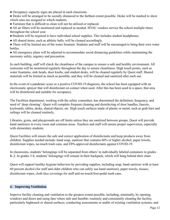- Occupancy capacity signs are placed in each classroom.
- Desks will be arranged to be socially distanced to the furthest extent possible. Desks will be marked to show which ones are assigned to which students.
- Furniture that is difficult to clean will not be utilized or replaced.

• All air filters will be monitored and replaced as needed. HVAC vendors service the school multiple times throughout the school year.

- Students will be required to have individual school supplies. This includes student headphones.
- All shared items, such as athletic balls, will be cleaned accordingly.

• There will be limited use of the water fountain. Students and staff will be encouraged to bring their own water bottles.

● All emergency plans will be adjusted to accommodate social distancing guidelines while maintaining the necessary safety, urgency and precaution.

In each building, staff will check the cleanliness of the campus to ensure a safe and healthy environment. All restrooms will be monitored regularly throughout the day to ensure cleanliness. High touch points, such as water fountains, sink heads, door knobs, and student desks, will be cleaned regularly by Quest staff. Shared materials will be limited as much as possible, and they will be cleaned and sanitized after each use.

In the event of a pandemic scare or a positive COVID-19 diagnosis, the school has been equipped with an electrostatic sprayer that will disinfectant on contact when used. After this has been used in a space, that area will be disinfected and suitable for occupancy.

The Facilities department, working with the safety committee, has determined the definition, frequency, and need of 'deep cleaning'. Quest will complete frequent cleaning and disinfecting of door handles, faucets, keyboards, tables, desks, shared objects, etc. High touch surfaces made of plastic or metal, such as grab bars and railings will be cleaned routinely.

Libraries, gyms, and playgrounds are off limits unless they are sanitized between groups. Quest will provide hand sanitizers in every room and common areas. Teachers and staff will ensure proper supervision, especially with elementary students.

Quest Facilities will ensure the safe and correct application of disinfectants and keep products away from children. Supplies needed include: hand soap, sanitizer that contains 60% or higher alcohol, paper towels, disinfectant wipes, no-touch trash cans, and EPA-approved disinfectants against COVID-19.

In classrooms, students' belongings will be separated from others' in individually labeled containers in grades K-2. In grades 3-8, students' belongings will remain in their backpack, which will hang behind their chair.

Quest will support healthy hygiene behaviors by providing supplies, including soap, hand sanitizer with at least 60 percent alcohol (for staff and older children who can safely use hand sanitizer), paper towels, tissues, disinfectant wipes, cloth face coverings for staff and no-touch/foot-pedal trash cans.

#### **4. Improving Ventilation**

Improve facility cleaning and ventilation to the greatest extent possible, including, minimally, by opening windows and doors and using fans where safe and feasible; routinely and consistently cleaning the facility, particularly hightouch or shared surfaces; conducting assessments or audits of existing ventilation systems; and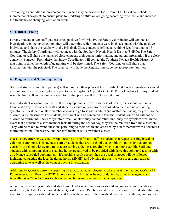developing a ventilation improvement plan, which may be based on tools from CDC. Quest can schedule incremental checkpoints to ensure plans for updating ventilation are going according to schedule and increase the frequency of changing ventilation filters.

#### **5. Contact Tracing**

For any student and/or staff that has tested positive for Covid-19, the Safety Coordinator will conduct an investigation. In the investigation, they will determine which students were in close contact with the positive individual and share the results with the Principal. Close contact is defined as within 6 feet for a total of 15 minutes. The Safety Coordinator will connect with the Southern Nevada Health District (SNHD). The Safety Coordinator will share the names of close contacts, their contact information, and parent information if the close contact is a student. From there, the Safety Coordinator will contact the Southern Nevada Health District. At that point in time, the length of quarantine will be determined. The Safety Coordinator will share that information with the principal. The principal will have the Registrar message the appropriate families.

#### **6. Diagnostic and Screening Testing**

Staff and students (and their parents) will self-screen their physical health daily. Under no circumstances should any employee with any symptoms report to the workplace (Appendix C: CDC Poster Guidance). If any student is not feeling well and having any symptoms, that person will need to stay at home.

Any individual who does not feel well or is symptomatic (fever, shortness of breath, etc.) should remain at home and away from others. Staff and students should only return to school when there are no remaining symptoms. If a student or staff member chooses to go to school while ill (no matter the illness), they will not be allowed in the classroom. For students, the parent will be contacted to take the student home and will not be allowed to return until they are symptom-free. For staff, they cannot return until they are symptom-free. In the event that a student or a staff member feels ill during the school day, they will be removed from the classroom. They will be asked relevant questions pertaining to their health and assessed by a staff member with a touchless thermometer and if necessary, another staff member will cover their classes.

Quest is now offering COVID-19 rapid testing on site for any staff or students that requests testing based on exhibited symptoms. This includes staff or students that are at school that exhibit symptoms or that are not currently at school with symptoms that are staying at home as required when symptoms exhibit. Staff and students with symptoms that are staying home are allowed to be provided with drive through rapid testing with an advance scheduled appointment. If a positive result occurs, then the usual protocol will be followed, including contacting the local health authority (SNHD) and advising the positive case regarding required quarantine time as well as the contact tracing investigation.

Additionally, Quest is currently requiring all unvaccinated employees to take a weekly scheduled COVID-19 Polymerase Chain Reaction (PCR) laboratory test. This test is being conducted by an outside agency, and typically takes 24 to 48 hours to obtain results, but is more accurate than a rapid-test.

All individuals feeling sick should stay home. Under no circumstances should an employee go to or stay at work if they feel ill. As mentioned above, Quest offers COVID-19 rapid tests for any staff or students exhibiting symptoms. Employees should contact and follow the advice of their medical provider. In addition, employees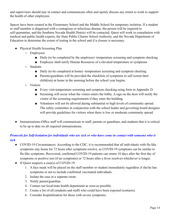and supervisors should stay in contact and communicate often and openly discuss any return to work to support the health of other employees.

Spaces have been created in the Elementary School and the Middle School for temporary isolation. If a student or staff member is diagnosed with a contagious or infectious disease, the person will be required to self-quarantine, and the Southern Nevada Health District will be contacted. Quest will work in consultation with medical and public health experts, the State Public Charter School Authority, and the Nevada Department of Education to determine the extent of testing in the school and if a closure is necessary.

- Physical Health Screening Plan
	- Employees
		- Daily (to be completed by the employee) -temperature screening and symptom checking
		- Employee shall notify Human Resources of a elevated temperature or symptoms
	- Students
		- Daily (to be completed at home) -temperature screening and symptom checking
		- Parents/guardians will be provided the checklists of symptoms to self screen their child(ren) at home in the morning before the school year begins.
	- Visitors
		- Every visit-temperature screening and symptom checking using form in Appendix D.
		- Screening will occur when the visitor enters the lobby. A sign on the door will notify the visitor of the screening requirements if they enter the building.
		- Volunteers will not be allowed during substantial or high levels of community spread. The safety committee in conjunction with the school leader and governing board designee will provide guidelines for visitors when there is low or moderate community spread.
- Immunizations-Office staff will communicate to staff, parents or guardians, and students that it is critical to be up to date on all required immunizations.

#### *Protocols for Self-Isolation for individuals who are sick or who have come in contact with someone who is sick*

- COVID-19 Circumstances: According to the CDC, it is recommended that all individuals with flu-like symptoms stay home for 72 hours after symptoms resolve, as COVID-19 symptoms can be similar to flu-like symptoms. Recovered, confirmed COVID-19 patients can return 10 days after the first day of symptoms or positive test (if no symptoms) or 72 hours after a fever resolves-whichever is longer.
- If Quest suspects a case(s) of COVID-19:
	- 1. A face mask will be placed on the staff member or student immediately regardless if she/he has symptoms or not to include confirmed vaccinated individuals.
	- 2. Isolate the case in a separate room.
	- 3. Notify parent/guardian.
	- 4. Contact our local/state health department as soon as possible.
	- 5. Create a list of all (students and staff) who could have been exposed (contacts).
	- 6. Consider hospitalization for those with severe symptoms.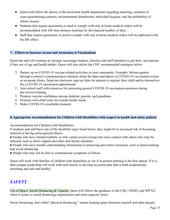- Quest will follow the advice of the local/state health department regarding reporting, isolation of cases/quarantining contacts, environmental disinfection, individual hygiene, and the probability of school closure.
- Students that require quarantine or need to comply with stay at home medical orders will be accommodated with full-time distance learning for the required number of days.
- Staff that require quarantine or need to comply with stay at home medical orders will be addressed with the HR office.

#### **7. Efforts to Increase Access and Awareness to Vaccinations**

Quest has and will continue to strongly encourage students, families and staff members to get their vaccinations if they are of age and health abides. Quest will also utilize the CDC recommended strategies below:

- 1. Partner up on COVID-19 vaccine-related activities in your community. Example: Inform parents through a school's communication channels about the dates and places of COVID-19 vaccination events or on-going clinics. Send out electronic sign-up links for parents to register their child and/or themselves for a COVID-19 vaccination appointment.
- 2. Arm school staff with resources for answering general COVID-19 vaccination questions during pre-service training.
- 3. Promote vaccine confidence among students, parents, and guardians.
- 4. Promote well-child visits for routine health needs.
- 5. Make COVID-19 a teachable moment.

#### **8. Appropriate Accommodations for Children with Disabilities with respect to health and safety policies**

Accommodations for Children with Disabilities:

If students and staff have one of the disability types listed below, they might be at increased risk of becoming infected or having unrecognized illness.

• People who have limited mobility or who cannot avoid coming into close contact with others who may be infected, such as direct support providers and family members.

• People who have trouble understanding information or practicing preventive measures, such as hand washing and social distancing.

• People who may not be able to communicate symptoms of illness.

Quest will work with families of children with disabilities to see if in-person learning is the best option. If it is, then campus leadership will work with each family to develop an action plan that is both academically enriching and safe and healthy.

### *SAFETY*

Use of Space: Social Distancing & Capacity Quest will follow the guidance of the CDC, SNHD, and SPCSA when it comes to social distancing requirements and room capacity limits.

Social distancing, also called "physical distancing," means keeping space between yourself and other people,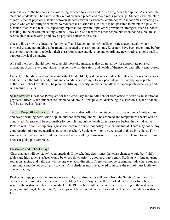which is one of the best tools to avoid being exposed to viruses and for slowing down the spread. As is possible, staff and students will be asked to stay out of crowded places and avoid mass gatherings. Students will maintain at least 3 feet of physical distance between students within classrooms, combined with indoor mask wearing by people who are not fully vaccinated, to reduce transmission risk. When it is not possible to maintain a physical distance of at least 3 feet, it is especially important to layer multiple other prevention strategies, such as indoor masking. In the classroom setting, staff will stay at least 6 feet from other people but when not possible, must wear a cloth face covering and have a physical barrier as feasible.

Quest will work with educators, facility staff, and leaders to identify sufficient safe space that allows for physical distancing, making adjustments as needed to classroom layouts. Educators have been given time before the school reopening to redesign their classroom space and develop and coordinate new routines among staff to support physical distancing.

All staff members should monitor to avoid those circumstances that do not allow for appropriate physical distancing. Again, every individual is responsible for the safety and health of themselves and fellow employees.

Capacity in buildings and rooms is important to identify. Quest has measured each of its classrooms and spaces and identified the full capacity limit and can adjust accordingly to any percentage required by appropriate authorities. School events will be planned utilizing capacity numbers that allow for appropriate distancing and will require RSVPs.

Space Dividers Quest has Plexiglass for the elementary and middle school front office to serve as an additional physical barrier. When students are unable to adhere to 3 feet physical distancing in classrooms, space dividers will be utilized as feasible.

Traffic: Drop Off and Pick Up: Drop off will be car drop off only. For students that live within a 1 mile radius and have a walking permission slip, an outdoor screening line will be enforced and temperature checks will be conducted. Parents will be responsible for completing online health screen surveys before their child arrives. Pick up will be car pick up only. Quest will continue our school policy of silent dismissal. There may not be any congregation of parents/guardians outside the school. Students will only be released to those in vehicles. For students that live within a 2 mile radius and have a walking permission slip, they will be released to walk home once car pick up is complete.

#### Classroom and School Usage

Class changes will be 'static' when practical. If the schedule determines that class changes would be 'fluid', tables and high touch surfaces would be wiped down prior to another group's entry. Students will line up using social distancing and hallways will be one way each direction. There will not be passing periods where students commingle and do not go directly to class. All schedules must be adhered to in case the school must facilitate contact tracing.

Restroom usage policies that maintain social/physical distancing will come from the Safety Committee. The office staff will monitor the restrooms in building 1 and 3. Signage will be marked on the floor for where to wait for the restroom to become available. The PE teachers will be responsible for adhering to the restroom policy in building 4. In building 2, markings will be provided on the floor and teachers will maintain a restroom log.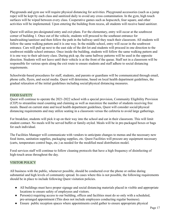Playgrounds and gym use will require physical distancing for activities. Playground accessories (such as a jump rope) will be kept by each class and sanitized daily to avoid any cross contamination. In the gym, high touch surfaces will be wiped between every class. Cooperative games such as hopscotch, four square, and other activities will be implemented. Upon entering the building from recess, all students will receive hand sanitizer.

Quest will utilize pre-designated entry and exit plans. For the elementary, entry will occur at the southwest corner of building 1. Once out of the vehicle, students will proceed to the southeast entrance for handwashing/sanitizer and then follow the path in the hallway until they reach their classroom. All students will follow the same walking pattern and it is one way. In the middle school, entry will occur in the southwest entrance. Cars will pull up next to the east side of the dirt lot and students will proceed in one direction to the southwest middle school entrance. Once inside the building, students will follow the same walking pattern and it is one way to their advisory class. During pick up, the same hallway patterns will be used in the opposite direction. Students will not leave until their vehicle is at the front of the queue. Staff not in a classroom will be responsible for various spots along the exit route to ensure students and staff adhere to social distancing requirements.

Schoolwide-based procedures for staff, students, and parents or guardians will be communicated through email, phone calls, flyers, and social media. Quest will determine, based on local health department guidelines, the gradual relaxation of the initial guidelines including social/physical distancing measures.

#### FOOD SAFETY

Quest will continue to operate the 2021-2022 school with a special provision, Community Eligibility Provision (CEP) to streamline meal counting and claiming as well as maximize the number of students receiving free meals. Based on current state and local health department guidelines, Quest will consider social/physical distancing requirements and may utilize seating in a classroom versus the cafeteria to avoid large gatherings.

For breakfast, students will pick it up on their way into the school and eat in their classroom. This will limit student contact. No meals will be served buffet or family-styled. Meals will be in pre-packaged boxes or bags for each individual.

The Facilities Manager will communicate with vendors to anticipate changes to menus and the necessary new food items, sanitation supplies, packaging supplies, etc. Quest Facilities will procure any equipment necessary (carts, temperature control bags, etc.) as needed for the modified meal distribution model.

Food services staff will continue to follow cleaning protocols that have a high frequency of disinfecting of high-touch areas throughout the day.

#### VISITOR POLICY

All business with the public, whenever possible, should be conducted over the phone or online during substantial and high levels of community spread. In cases where this is not possible, the following requirements should be in place to include following Quest visitation policies.

- All buildings must have proper signage and social distancing materials placed in visible and appropriate locations to ensure safety of employees and visitors.
- Person(s) requiring access to our building, offices and facilities must do so only with a scheduled, pre-arranged appointment (This does not include employees conducting regular business).
- Ensure public reception spaces where appointments could gather to ensure appropriate physical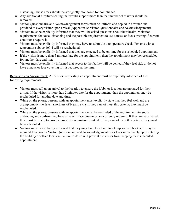distancing. These areas should be stringently monitored for compliance.

- Any additional furniture/seating that would support more than that number of visitors should be removed.
- Visitor Questionnaire and Acknowledgement forms must be uniform and copied in advance and provided to every visitor upon arrival (Appendix D: Visitor Questionnaire and Acknowledgement).
- Visitors must be explicitly informed that they will be asked questions about their health, visitation requirements for social distancing and the possible requirement to use a mask or face covering if current conditions require it.
- Visitors must be explicitly informed they may have to submit to a temperature check. Persons with a temperature above 100.4 will be rescheduled.
- Visitors must be explicitly informed that they are expected to be on time for the scheduled appointment.
- If the visitor is more than 5 minutes late for the appointment, then the appointment may be rescheduled for another date and time.
- Visitors must be explicitly informed that access to the facility will be denied if they feel sick or do not have a mask or face covering if it is required at the time.

Requesting an Appointment: All Visitors requesting an appointment must be explicitly informed of the following requirements.

- Visitors must call upon arrival to the location to ensure the lobby or location are prepared for their arrival. If the visitor is more than 5 minutes late for the appointment, then the appointment may be rescheduled for another date and time.
- While on the phone, persons with an appointment must explicitly state that they feel well and are asymptomatic (no fever, shortness of breath, etc.). If they cannot meet this criteria, they must be rescheduled.
- While on the phone, persons with an appointment must be reminded of the requirement for social distancing and confirm they have a mask if face coverings are currently required. If they are vaccinated, they must be ready to provide proof of vaccination if asked. If they cannot meet this criteria, they must be rescheduled.
- Visitors must be explicitly informed that they may have to submit to a temperature check and may be required to answer a Visitor Questionnaire and Acknowledgement prior to or immediately upon entering the building or office location. Failure to do so will prevent the visitor from keeping their scheduled appointment.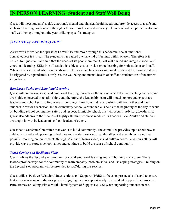### **IN PERSON LEARNING: Student and Staff Well Being**

Quest will meet students' social, emotional, mental and physical health needs and provide access to a safe and inclusive learning environment through a focus on wellness and recovery. The school will support educator and staff well-being throughout the year utilizing specific strategies.

#### *WELLNESS AND RECOVERY*

As we work to reduce the spread of COVID-19 and move through this pandemic, social emotional connectedness is critical. The pandemic has caused a whirlwind of feelings within oneself. Therefore it is critical for Quest to make sure that the needs of its people are met. Quest will embed and integrate social and emotional learning (SEL) into all academic subjects onsite or via remote learning for both students and staff. When it comes to students, those needs most likely also include socioemotional needs and the trauma that can be triggered by a pandemic. For Quest, the wellbeing and mental health of staff and students are of the utmost importance.

#### *Emphasize Social and Emotional Learning*

Quest will emphasize social and emotional learning throughout the school year. Effective teaching and learning are highly connected to relationships, and therefore, the leadership team will model support and encourage teachers and school staff to find ways of building connections and relationships with each other and their students in various scenarios. In the elementary school, a round table is held at the beginning of the day to work on building school community, safety and respect. In middle school, this will occur in Advisory/Leadership. Quest also adheres to the 7 habits of highly effective people as modeled in Leader in Me. Adults and children are taught how to be leaders of self and leaders of others.

Quest has a Sunshine Committee that works to build community. The committee provides input about how to celebrate missed and upcoming milestones and creates next steps. While rallies and assemblies are not yet possible, morning announcements through Microsoft Teams video, visual bulletin boards, and newsletters will provide ways to express school values and continue to build the sense of school community.

#### *Teach Coping and Resilience Skills*

Quest utilizes the Second Step program for social emotional learning and anti bullying curriculum. These lessons provide ways for the community to learn empathy, problem solve, and use coping strategies. Training on the Second Step program will be provided to staff during pre-service.

Quest utilizes Positive Behavioral Interventions and Supports (PBIS) to focus on prosocial skills and to ensure that as soon as someone shows signs of struggling there is support ready. The Student Support Team uses the PBIS framework along with a Multi-Tiered System of Support (MTSS) when supporting students' needs.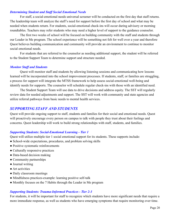#### *Determining Student and Staff Social Emotional Needs*

For staff, a social-emotional needs universal screener will be conducted on the first day that staff returns. The leadership team will analyze the staff's need for support before the first day of school and what may be needed when students return. For students, social-emotional check-ins will occur during advisory or morning roundtables. Teachers may refer students who may need a higher level of support to the guidance counselor.

The first two weeks of school will be focused on building community with the staff and students through our Leader in Me program. The school experience will be something not felt for well over a year and therefore Quest believes building communication and community will provide an environment to continue to monitor social emotional needs.

For students that are referred to the counselor as needing additional support, the student will be referred to the Student Support Team to determine support and structure needed.

#### *Monitor Staff and Students*

Quest will monitor staff and students by allowing listening sessions and communicating how lessons learned will be incorporated into the school improvement processes. If students, staff, or families are struggling, a process for support will integrate the MTSS framework to help assess social-emotional well-being and identify needs for supports. The counselor will schedule regular check-ins with those with an identified need.

The Student Support Team will use data to drive decisions and address equity. The SST will regularly review data for needed adjustments and support. The SST will work with community and state agencies and utilize referral pathways from basic needs to mental health services.

#### *SUPPORTING STAFF AND STUDENTS*

Quest will provide ongoing support to staff, students and families for their social and emotional needs. Quest will proactively encourage every person on campus to talk with people they trust about their feelings and concerns. Quest leadership will work to build strong relationships with staff, students, and families.

#### *Supporting Students: Social-Emotional Learning - Tier 1*

Quest will utilize multiple tier 1 social emotional support for its students. These supports include:

- School-wide expectations, procedures, and problem solving skills
- Positive systematic reinforcements
- Culturally responsive practices
- Data-based decision making
- Community partnerships
- Journal writing
- Art activities
- Daily classroom meetings
- Mindfulness practices-example: learning positive self-talk
- Monthly focuses on the 7 Habits through the Leader in Me program

#### *Supporting Students: Trauma-Informed Practices - Tier 2-3*

For students, it will be important for staff to recognize which students have more significant needs that require a more immediate response, as well as students who have emerging symptoms that require monitoring over time.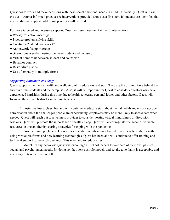Quest has to work and make decisions with these social emotional needs in mind. Universally, Quest will use the tier 1 trauma-informed practices & interventions provided above as a first step. If students are identified that need additional support, additional practices will be used.

For more targeted and intensive support, Quest will use these tier 2 & tier 3 interventions:

- Weekly reflection meetings
- Practice problem solving skills
- Creating a "calm down toolkit"
- Anxiety/grief support groups
- One-on-one weekly meetings between student and counselor
- Virtual home visit between student and counselor
- Behavior contract
- Restorative justice
- Use of empathy in multiple forms

#### *Supporting Educators and Staff*

Quest supports the mental health and wellbeing of its educators and staff. They are the driving force behind the success of the students and the campuses. Also, it will be important for Quest to consider educators who have experienced hardships during this time due to health concerns, personal losses and other factors. Quest will focus on three main bedrocks in helping teachers.

1. Foster wellness. Quest has and will continue to educate staff about mental health and encourage open conversation about the challenges people are experiencing, employees may be more likely to access care when needed. Quest will reach out to a wellness provider to consider hosting virtual mindfulness or discussion sessions. Quest will promote the importance of healthy sleep. Quest will encourage staff to serve as valuable resources to one another by sharing strategies for coping with the pandemic.

2. Provide training. Quest acknowledges that staff members may have different levels of ability with using virtual platforms and new learning technologies. Quest has been and will continue to offer training and technical support for new job demands. This may help to reduce stress.

3. Model healthy behavior: Quest will encourage all school leaders to take care of their own physical, social, and psychological needs. By doing so, they serve as role models and set the tone that it is acceptable and necessary to take care of oneself.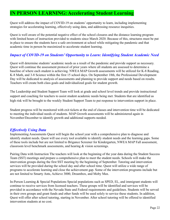### **IN PERSON LEARNING: Accelerating Student Learning**

Quest will address the impact of COVID-19 on students' opportunity to learn, including implementing strategies for accelerating learning, effectively using data, and addressing resource inequities.

Quest is well aware of the potential negative effect of the school closures and the distance learning program with limited hours of instruction provided to students since March 2020. Because of this, structures must be put in place to ensure the students have a safe environment at school while mitigating the pandemic and that academic time in person be maximized to accelerate student learning.

#### *Impact of COVID-19 on Students' Opportunity to Learn: Identifying Student Academic Need*

Quest will determine students' academic needs as a result of the pandemic and provide support as necessary. Quest will continue the assessment protocol of prior years where all students are assessed to determine a baseline of where each student is achieving. NWEA MAP Growth assessments will be utilized for K-8 Reading, K-8 Math, and 3-8 Science within the first 15 school days. On September 18th, the Professional Development Day will be dedicated to analysis of assessments and planning to provide support and needs based on results. Teachers will create both class goals and individualized goals for student growth.

The Leadership and Student Support Team will look at grade and school level trends and provide instructional support and coaching for teachers to assist student academic needs being met. Students that are identified as high risk will be brought to the weekly Student Support Team to put response to intervention support in place.

Student progress will be monitored with exit tickets at the end of classes and intervention time will be dedicated to meeting the individual needs of students. MAP Growth assessments will be administered again in November/December to identify growth and additional supports needed.

#### *Ef ectively Using Data*

Implementing Assessments Quest will begin the school year with a comprehensive plan to diagnose and identify student needs. Quest will use every tool available to identify student needs and the learning gaps. Some of these tools include but are not limited to Brigance Screener for Kindergarten, NWEA MAP Fall assessment, classroom level benchmark assessments, and hearing & vision screenings.

Pairing Data with Instruction The teachers will look at the beginning of the year data during the Student Success Team (SST) meetings and prepare a comprehensive plan to meet the student needs. Schools will make the intervention groups during the first SST meeting by the beginning of September. Tutoring and intervention services will be provided during the school day and after school time. Quest will utilize a wide range of programs to accelerate learning and close the achievement gap. Some of the intervention programs include but are not limited to Smarty Ants, Achieve 3000, Dreambox, and Moby Max.

In-Person Learning & Special Populations Special populations such as SPED, EL, and immigrant students will continue to receive services from licensed teachers. These groups will be identified and services will be provided in accordance with the Nevada State and Federal requirements and guidelines. Students will be served in their own groups and grant funds and other funds will be used solely to service these students. In addition, Quest will offer after school tutoring, starting in November. After school tutoring will be offered to identified intervention students at no cost.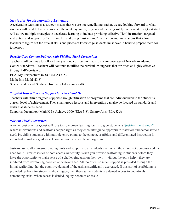#### *Strategies for Accelerating Learning*

Accelerating learning as a strategy means that we are not remediating, rather, we are looking forward to what students will need to know to succeed the next day, week, or year and focusing solely on those skills. Quest staff will utilize multiple strategies to accelerate learning to include providing effective Tier I instruction, targeted instruction and support for Tier II and III, and using "just in time" instruction and min-lessons that allow teachers to figure out the crucial skills and pieces of knowledge students must have in hand to prepare them for tomorrow.

#### *Provide Core Content Delivery with Fidelity: Tier I Curriculum*

Teachers will continue to follow their yearlong curriculum maps to ensure coverage of Nevada Academic Content Standards. Teachers will continue to utilize the curriculum supports that are rated as highly effective through EdReports.org: ELA: My Perspectives (6-8), CKLA (K-5) Math: Into Math! (K-8)

Science and Social Studies: Discovery Education (K-8)

#### *Targeted Instruction and Support for Tier II and III*

Teachers will utilize targeted supports through utilization of programs that are individualized to the student's current level of achievement. Then small group lessons and intervention can also be focused on standards and skills that students need.

Supports: Dreambox (Math K-8), Achieve 3000 (ELA 3-8), Smarty Ants (ELA K-3)

#### *"Just in Time" Instruction*

Another best practice Quest will use to slow down learning loss is to give students a "just-in-time strategy" where interventions and scaffolds happen right as they encounter grade-appropriate materials and demonstrate a need. Providing students with multiple entry points to the content, scaffolds, and differentiated instruction is important in making grade-level content more accessible and rigorous.

Just-in-case scaffolding—providing hints and supports to all students even when they have not demonstrated the need for it—creates issues of both access *and* equity. When you provide scaffolding to students before they have the opportunity to make sense of a challenging task on their own—without the extra help—they are inhibited from developing productive perseverance. All too often, so much support is provided through the initial scaffolding that the cognitive demand of the task is significantly decreased. If this sort of scaffolding is provided up front for students who struggle, then these same students are denied access to cognitively demanding tasks. When access is denied, equity becomes an issue.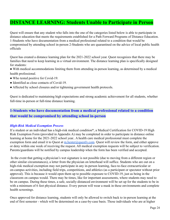### **DISTANCE LEARNING: Students Unable to Participate in Person**

Quest will ensure that any student who falls into the one of the categories listed below is able to participate in distance education that meets the requirements established for a Path Forward Programs of Distance Education. 1-Students who have documentation from a medical professional related to a condition that would be compromised by attending school in-person 2-Students who are quarantined on the advice of local public health officials

Quest has created a distance learning plan for the 2021-2022 school year. Quest recognizes that there may be families that need to keep learning in a virtual environment. The distance learning plan is specifically designed for students:

- With medical accommodations limiting them from attending in-person learning, as determined by a medical health professional.
- Who tested positive for Covid-19.
- Identified as close contacts of Covid-19.
- Affected by school closures and/or tightening government health protocols.

Quest is dedicated to maintaining high expectations and strong academic achievement for all students, whether full-time in-person or full-time distance learning.

#### **1-Students who have documentation from a medical professional related to a condition that would be compromised by attending school in-person**

#### *High-Risk Medical Exemption Process*

If a student or an individual has a high-risk medical condition\*, a Medical Certification for COVID-19 High Risk Exemption Form (provided in Appendix A) may be completed in order to participate in distance online learning at home for the 2021-2022 school year.. A health care medical professional must complete the exemption form and email it to Quest at m.hester@questly.com. Quest will review the form, and either approve or deny within one week of receiving the request. All medical exemption requests will be subject to verification. Parents/guardians will be notified by campus leadership when the form has been verified and accepted.

In the event that getting a physician's wet signature is not possible (due to moving from a different region or other similar circumstances), a letter from the physician on letterhead will suffice. Students who are out on a high-risk medical exemption may not participate in any in-person learning, face-to-face extracurricular or on-campus activities, including field trips, competitions, and athletics (as a participant or spectator without prior approval). This is because it would open them up to possible exposure to COVID-19, just as being in the classroom on campus would. There may be times, like for important assessments, where students may need to be on campus. During these times, a safe, socially-distanced environment will be set up for the students to be in with a minimum of 6 feet physical distance. Every person will wear a mask in these environments and complete health screenings.

Once approved for distance learning, students will only be allowed to switch back to in-person learning at the end of first semester - which will be determined on a case-by-case basis. Those individuals who are at higher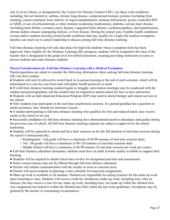risk of severe illness, as designated by the Centers for Disease Control (CDC), are those with conditions including, but not limited to: asthma, chronic lung disease, compromised immune systems (including from smoking, cancer treatment, bone marrow or organ transplantation, immune deficiencies, poorly controlled HIV or AIDS, or use of corticosteroids or other immune weakening medications), diabetes, serious heart disease (including heart failure, coronary artery disease, congenital heart disease, cardiomyopathies, and hypertension), chronic kidney disease undergoing dialysis, or liver disease. During the school year, if public health conditions worsen and/or students develop certain health conditions that may qualify for a high-risk medical exemption, families can reach out to school leadership to discuss joining full-time distance learning.

Full-time distance learning will only take place for high-risk students whose exemption form has been approved. Once eligible for the Distance Learning (DL) program, students will be assigned to the class of the teacher that is designated at the grade level for hybrid instruction, meaning providing instruction to some in person students and some distance students.

#### *Parent Considerations for Full time Distance Learning with a Medical Exemption*

Parents/guardians are asked to consider the following information when seeking full-time distance learning (DL) for their student:

- Students will only be allowed to switch back to in-person learning at the end of each semester, which will be determined on a case-by-case basis and with public health protocols in mind.
- If a full-time distance learning student begins to struggle, intervention meetings may be conducted with the student and parent/guardian, and the student may be required to attend school for face-to-face instruction.
- Students with an Individualized Education Program (IEP) may need to attend therapy and related services at the school.
- Only students may participate in the real-time synchronous sessions. If a parent/guardian has a question or needs assistance, they should not interrupt a lesson.
- A student participating in full-time distance learning who qualifies for free and reduced lunch, may receive meals at the school at no cost.
- Successful candidates for full-time distance learning have demonstrated positive attendance and grades during the previous year of school. All full-time distance learning requests are subject to approval by the school leadership.
- Students will be expected to attend and have their cameras on for the full duration of real-time sessions during the school's instructional day.
	- Kindergarten 2nd grade will have a minimum of 60-90 minutes of real-time sessions daily.
	- $\circ$  3rd 5th grade will have a minimum of 90-120 minutes of real-time sessions daily.
	- Middle School will have a minimum of 60-90 minutes of real-time sessions per week per course.

● Full-time distance education elementary students must have an adult at home readily available to support their learning.

- Students will be required to attend school face-to-face for designated activities and assessments.
- Some courses/classes may not be offered through full-time distance education.
- Parents will initiate communication with the teacher as soon as concerns arise.
- Parents will assist students in planning a time schedule for long-term assignments.

● Make-up work is available to all students. Students are responsible for asking teachers for the make-up work upon returning to class. Students will receive credit for satisfactory make-up work, including tests, after an absence, but may receive a zero for any make-up work, including tests, not made up within the allotted time. Any assignment not turned in within the allotted time falls within the late work guidelines. Exceptions may be granted by the teacher in extenuating circumstances.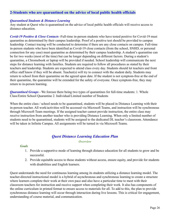#### **2-Students who are quarantined on the advice of local public health officials**

#### *Quarantined Students & Distance Learning*

Any student at Quest who is quarantined on the advice of local public health officials will receive access to distance education.

*Covid-19 Positive & Close Contacts* -Full-time in-person students who have tested positive for Covid-19 must quarantine as determined by their campus leadership. Proof of a positive test should be provided to campus leadership. Contact tracing will be conducted to determine if there are any close contacts on campus. Full-time in-person students who have been identified as Covid-19 close contacts (from the school, SNHD, or personal connection for any case) must quarantine as determined by their campus leadership. A student's quarantine can be for two weeks (most of the time) but can be longer depending on different factors. During a student's quarantine, a Chromebook or laptop will be provided if needed. School leadership will communicate the next steps for distance learning with families. Students are required to follow all procedures as stated by their teachers and leadership. Students are expected to attend class every day. Students should let teachers and front office staff know if they will be absent. Teacher(s) will try to connect with the student daily. Students may return to school from their quarantine on the agreed upon date. If the student is not symptom-free at the end of their quarantine, the quarantine will be extended for the safety of everyone. Once symptom-free, they may return to in-person learning.

*Quarantined Groups* - We foresee there being two types of quarantines for full-time students: 1. Whole Class/Entire School Quarantine 2. Individual/Limited number of Students

When the entire class / school needs to be quarantined, students will be placed in Distance Learning with their in-person teacher. All work/activities will be accessed via Microsoft Teams, and instruction will be synchronous through Microsoft Team meetings. If the assigned teacher cannot provide instruction, the entire class may receive instruction from another teacher who is providing Distance Learning. When only a limited number of students need to be quarantined, students will be assigned to the dedicated DL teacher's classroom. Attendance will be taken in Infinite Campus. All assignments will be turned in via Microsoft Teams.

#### *Quest Distance Learning Education Plan Overview*

#### *Goals*

- 1. Provide a supportive mode of learning through distance education for all students to grow and be successful.
- 2. Provide equitable access to those students without access, ensure equity, and provide for students with disabilities and English learners.

Quest understands the need for continuous learning among its students utilizing a distance learning model. The teacher-directed instructional model is a hybrid of asynchronous and synchronous learning to create a structure where learners complete their work at their own pace and also have a particular time to meet with their classroom teachers for instruction and receive support when completing their work. It also has components of the online curriculum in printed format to ensure access to materials for all. To add to this, the plan to provide synchronous distance learning will occur through interaction during live lessons. This is critical for engagement, understanding of course material, and communication.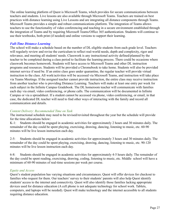The online learning platform of Quest is Microsoft Teams, which provides for secure communications between teachers and students. Live lessons are also available through Microsoft Teams. Teachers are trained on best practices with distance learning using Live Lessons and are integrating all distance components through Teams. Microsoft Teams provides a simple and robust communications platform. The integration of Teams allows teachers to use the functionality of video conferencing and teaching in a secure environment established through the integration of Teams and by requiring Microsoft Teams/Office 365 authentication. Students will continue to use their textbooks, both print (if needed) and online versions to support their learning.

#### *Full-Time Distance Learning*

The school will make a schedule based on the number of DL eligible students from each grade level. Teachers will regularly review and revise the curriculum to reflect real-world needs, depth and complexity, rigor and relevance, and meeting all students' needs. Classwork is any instructional activity defined/planned by the teacher to be completed during a class period to facilitate the learning process. There could be occasions where classwork becomes homework. Students will have access to Microsoft Teams and other DL instruction programs and resources. Students will be provided a Chromebook to take home. Students will also be provided internet service if need be. If an entire class goes under quarantine, the regular teacher will provide virtual instruction to the class. All work/activities will be accessed via Microsoft Teams, and instruction will take place via Teams Meetings. If the assigned teacher cannot provide instruction, the entire class may receive instruction from another teacher who is providing Distance Learning. Teachers will make at least one entry per week for each subject in the Infinite Campus Gradebook. The DL homeroom teacher will communicate with families each day via email, video conferencing, or phone calls. The communication will be documented in Infinite Campus or via a spreadsheet. If a student cannot be accessed via phone, video conferencing, or email, in that case, the dedicated DL teacher will need to find other ways of interacting with the family and record all communication and details.

#### *Content Delivery: Recommended Time on Task*

The instructional schedule may need to be revised/revisited throughout the year but the schedule will provide for the time allocations below:

K-1: Students should be engaged in academic activities for approximately 2 hours and 30 minutes daily. The remainder of the day could be spent playing, exercising, drawing, dancing, listening to music, etc. 60-90 minutes will be live lesson instruction each day.

2-5: Students should be engaged in academic activities for approximately 3 hours and 30 minutes daily. The remainder of the day could be spent playing, exercising, drawing, dancing, listening to music, etc. 90-120 minutes will be live lesson instruction each day.

6-8: Students should be engaged in academic activities for approximately 4-5 hours daily. The remainder of the day could be spent reading, exercising, drawing, coding, listening to music, etc. Middle school will have a minimum of 60-90 minutes of real-time sessions per week per course.

#### *Equity and Access*

Quest's student population has varying situations and circumstances. Quest will offer devices for checkout to families who request for them. Our teachers' survey to their students' parents will also help Quest identify students' access to the internet and connectivity. Quest will also identify those families lacking appropriate devices used for distance education (A cell phone is not adequate technology for school work. Tablets, computers, and laptops will be needed). Quest will make technology and the internet accessible to all students requiring distance education.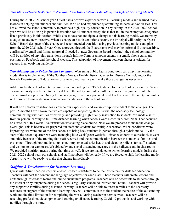#### *Transition Between In-Person Instruction, Full-Time Distance Education, and Hybrid Learning Models*

During the 2020-2021 school year, Quest had a positive experience with all learning models and learned many lessons in helping our students and families. We also had experience quarantining students and/or classes. This has allowed the school community to provide a high-quality education in any setting. In the 2021-2022 school year, we will be utilizing in person instruction for all students except those that fall in the exemption categories listed previously in this section. While Quest does not anticipate a change to this learning model, we are ready to adjust to any new directive. When a change of health conditions occurs, the Principal will notify the Quest School Board designee of the change and recommended transition using previous learning models and plans from the 2020-2021 school year. Once approved through the Board (approval may be informal if time sensitive, confirmed by email and formal approval if needed at next Governing Board meeting), the school community will be notified of any plan transitions through Infinite Campus announcements via email, phone calls, and postings on Facebook and the school website. This adaptation of movement between phases is critical for success in an evolving pandemic.

*Transitioning due to Public Health Conditions* Worsening public health conditions can affect the learning model that is implemented. If the Southern Nevada Health District, Center for Disease Control, and/or the Nevada Department of Education enforce new directives, we will make those changes as necessary.

Additionally, the school safety committee met regarding the CDC Guidance for the School decision tree. When closure authority is returned to the local level, the safety committee will incorporate that guidance into the decision-making process. During the school year, if there is a potential need to close again, the safety committee will convene to make decisions and recommendations to the school board.

It will be a smooth transition for us due to our experience, and we are equipped to adapt to the changes. The past 15 months have shown that we are capable of supporting students with the necessary technology, communicating with families effectively, and providing high-quality instruction to students. We made a shift from in-person learning to full-time distance learning when schools were closed in March 2020. That occurred on a weekend. In a week, live instruction was taking place online. Now we are prepared to make the change overnight. This is because we prepared our staff and students for multiple scenarios. When conditions were improving, we were one of the first schools to bring back students in-person through a hybrid model. By the start of the second quarter, we were managing blue week/green week/full-distance cohorts at our school. It went smoothly because of the training that staff received and the communication between the students, families and the school. Through both models, our school implemented strict health and cleaning policies for staff, students and visitors to our campuses. We abided by any social distancing measures in the hallways and in classrooms. We provided nutrition meals during that time as well. If we are mandated to switch learning models during the 2021-2022 school year, our schools and staff members will be ready. If we are forced to shift the learning model abruptly, we will be ready to make that change immediately.

#### *Staf ing & Development for Distance Learning*

Quest will utilize licensed teachers and/or licensed substitutes to be the instructors for distance education. Teachers will post the content and language objectives for each class. These teachers will create lessons and units through Microsoft Teams and online curriculum programs. Teachers will be accessible to students through the internet or by telephone during the school's regularly scheduled instructional hours. Teachers will provide any support to families during distance learning. Teachers will be able to direct families to the necessary resources in support of the student's learning; they will communicate to the student the nature of the outstanding work and the time limitation for completing the work. During teacher in-service week, teachers will be receiving professional development and training on distance learning, Covid-19 protocols, and working with families through this time.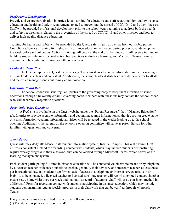#### *Professional Development*

Provide and ensure participation in professional learning for educators and staff regarding high-quality distance education and health and safety requirements related to preventing the spread of COVID-19 and other illnesses. Staff will be provided professional development prior to the school year beginning to address both the health and safety requirements related to the prevention of the spread of COVID-19 and other illnesses and how to deliver high-quality distance education.

Training for health and safety will be provided by the Quest Safety Team as well as from our safety partner, Compliance Science. Training for high-quality distance education will occur during professional development the week before school begins. Optional training will begin at the end of July.Educators will receive training on building student relationships, instruction best practices in distance learning, and Microsoft Teams training. Training will be continuous throughout the school year.

#### *Leadership Team Role*

The Leadership team at Quest meets weekly. The team shares the same information so the messaging to all stakeholders is clear and consistent. Additionally, the school leader distributes a weekly newsletter to all staff and the office manager sends out family communication.

#### *Governing Board Role*

The school leader will send regular updates to the governing body to keep them informed of school operations through a bi-weekly email. Governing board members with questions may contact the school leader who will accurately respond to questions.

#### *Frequently Asked Questions*

A FAQ site is available on the Quest website under the "Parent Resources" then "Distance Education" tab. In order to provide accurate information and debunk inaccurate information so that it does not create panic or a misinformation vacuum, informational videos will be released in the weeks leading up to the school opening. Additionally, the parents on the school re-opening committee will serve as parent liaison for other families with questions and concerns.

#### *Attendance*

Quest will track daily attendance in its student information system, Infinite Campus. This will ensure Quest utilizes a consistent method for recording contact with students, which may include students demonstrating regular weekly progress in their classwork that can be verified through Microsoft Teams, which serves as the learning management system.

Each student participating full-time in distance education will be contacted via electronic means or by telephone by a licensed teacher or licensed substitute teacher, generally their advisory or homeroom teacher, at least once per instructional day. If a student's confirmed lack of access to a telephone or internet service results in an inability to be contacted, a licensed teacher or licensed substitute teacher will record attempted contact via other means (e.g., home visit) once per week and maintain a record of attempts. Staff will use a consistent method in a Microsoft Form for recording contact with students participating in distance education, which may include students demonstrating regular weekly progress in their classwork that can be verified through Microsoft Teams.

Daily attendance may be satisfied in any of the following ways:

(1) The student is physically present; and/or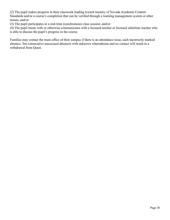(2) The pupil makes progress in their classwork leading toward mastery of Nevada Academic Content Standards and/or a course's completion that can be verified through a learning management system or other means; and/or

(3) The pupil participates in a real-time (synchronous) class session; and/or

(4) The pupil meets with or otherwise communicates with a licensed teacher or licensed substitute teacher who is able to discuss the pupil's progress in the course.

Families may contact the main office of their campus if there is an attendance issue, such incorrectly marked absence. Ten consecutive unexcused absences with unknown whereabouts and no contact will result in a withdrawal from Quest.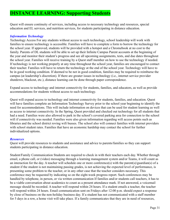### **DISTANCE LEARNING: Supporting Students**

Quest will ensure continuity of services, including access to necessary technology and resources, special education and EL services, and nutrition services, for students participating in distance education.

#### *Information Technology*

Technology Access For any students without access to such technology, school leadership will work with families to ensure technology is accessible. Families will have to complete a form to borrow the technology for the school year. If approved, students will be provided with a hotspot and a Chromebook at no cost to the family. Parents of DL students will be able to set up their Infinite Campus Parent accounts at the beginning of the year and monitor their student's progress and see all upcoming assignments, tests, and due dates throughout the school year. Families will receive training by a Quest staff member on how to use the technology if needed. If technology is not working properly at any time throughout the school year, families are encouraged to contact their teacher. Families will have to return the technology at the end of the school year. Technology will have to be in good working condition. If deemed to be not in good condition, families may be required to reimburse the campus (at leadership's discretion). If there are greater issues in technology (i.e., internet service provider shutdown, blackout, etc.), distance learning can be done through paper correspondence.

Expand access to technology and internet connectivity for students, families, and educators, as well as provide accommodations for students without access to such technology.

Quest will expand access to technology and internet connectivity for students, families, and education. Quest will have families complete an Information Technology Survey prior to the school year beginning to identify the need for accommodations. This will include information on devices that can be used for student learning as well as access to internet connectivity. In the Spring, Quest provided and checked out technology for all students that had a need. Families were also allowed to park in the school's covered parking area for connection to the school wifi if connectivity was needed. Families were also given information regarding wifi access points such as libraries and the school district roving wifi busses. The school also will connect families with internet providers with school student rates. Families that have an economic hardship may contact the school for further individualized options.

#### *Resources*

Quest will provide resources to students and assistance and advice to parents/families so they can support students participating in distance education.

Student/Family Communication Students are required to check in with their teachers each day. Whether through email, a phone call, or (video) messaging through a learning management system and/or Teams, it will count as an interaction for the day. A teacher will schedule one or more conference(s) with the parent(s)/guardian(s) of a student if the student is not maintaining passing grades, is not achieving the expected level of performance, is presenting some problem to the teacher, or in any other case that the teacher considers necessary. This conference may be requested by indicating so on the eight-week progress report. Such conferences may be handled by telephone, in person, or via written communication If families and/or students call teachers, it has to be a viable conversation about academics to count as a present attendance mark. If not answered, a voicemail message should be recorded. A teacher will respond within 24 hours. If a student emails a teacher, the teacher will respond within 24 hours. Email communication sent on Fridays after 12:00 p.m. should expect a response by close of business on the non-holiday business day. If a student has not communicated with a staff member for 5 days in a row, a home visit will take place. If a family communicates that they are in need of resources,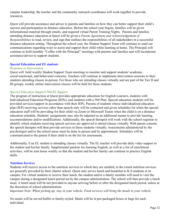campus leadership, the teacher and the community outreach coordinator will work together to provide resources.

Quest will provide assistance and advice to parents and families on how they can better support their child's success and participation in distance education. Before the school year begins, families will be given informational material through emails, and required virtual Parent Training Nights. Parents and families attending distance education at Quest will be given a *Parent Agreement and Acknowledgement of Responsibilities* to read, review, and sign that outlines the responsibilities of all stakeholders in a successful distance education setting. Throughout the school year, the Student Support Team will continue to send out communications regarding ways to assist and support their child while learning at home. The Principal will continue to hold monthly "Coffee with the Principal" meetings with parents and families and will incorporate assistance/advice to support students.

#### *Special Education and EL students*

#### *Response to Intervention*

Quest will hold weekly Student Support Team meetings to monitor and support students' academic, social-emotional, and behavioral concerns. Teachers will continue to implement intervention sessions to their students attending classes in-person. For those who are attending classes virtually and are part of the Tier II and III groups, weekly online intervention classes will be held for those students.

#### *Special Education Support/504/EL Support*

The program of instruction at Quest provides appropriate education for English Learners, students with Individualized Education Programs (IEPs), and students with a 504 Plan. Special education students will be provided services/support in accordance with their IEPs. Parents of students whose individualized education plan (IEP) receiving services other than speech only will be contacted and given schedules for when the special education staff will be providing for their child via Zoom or Microsoft Teams when the child is on a distance education schedule. Students' assignments may also be adjusted as an additional means to provide learning accommodations and/or modifications. Additionally, the speech therapist will work with the school registrar to identify which students receiving speech services are approved to attend classes virtually. With parent consent, the speech therapist will then provide services to those students virtually. Assessments administered by the psychologist and/or the school nurse must be done in person and by appointment. Schedules will be communicated to the parent if their child is on the list for assessment.

Additionally, if an EL student is attending classes virtually. The EL teacher will provide daily video support to the student and his/her family. Supplemental packets for learning English, as well as a list of enrichment activities, will be sent home weekly so that the student and his/her family can continue to practice English skills.

#### *Nutrition Services*

Students will receive access to the nutrition services to which they are entitled, to the extent nutrition services are generally provided by their charter school. Quest only serves lunch and breakfast to K-8 students at its campus. For virtual students to receive their lunch, the student and/or a family member will need to visit the campus during a designated lunch period set by the campus administration. The school will then provide a lunch meal. A lunch meal will be not provided to anyone arriving before or after the designated lunch period, unless at the discretion of school administration.

*Important Note: When picking up, stay in your vehicle. Food services will bring the meals to your vehicle.*

No meals will be served buffet or family-styled. Meals will be in pre-packaged boxes or bags for each individual.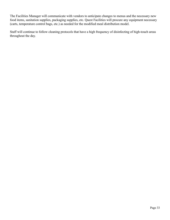The Facilities Manager will communicate with vendors to anticipate changes to menus and the necessary new food items, sanitation supplies, packaging supplies, etc. Quest Facilities will procure any equipment necessary (carts, temperature control bags, etc.) as needed for the modified meal distribution model.

Staff will continue to follow cleaning protocols that have a high frequency of disinfecting of high-touch areas throughout the day.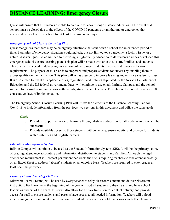### **DISTANCE LEARNING: Emergency Closure**

Quest will ensure that all students are able to continue to learn through distance education in the event that school must be closed due to the effects of the COVID-19 pandemic or another major emergency that necessitates the closure of school for at least 10 consecutive days.

#### *Emergency School Closure Learning Plan*

Quest recognizes that there may be emergency situations that shut down a school for an extended period of time. Examples of emergency situations could include, but not limited to, a pandemic, a facility issue, or a natural disaster. Quest is committed to providing a high-quality education to its students and has developed this emergency school closure learning plan. This plan will be made available to all staff, families, and students. This plan will succeed in delivering instruction online to meet students' elective and general education requirements. The purpose of this plan is to empower and prepare students for success by enabling them to access quality online instruction. This plan will act as a guide to improve learning and enhance student success. It is also aimed to fulfill all applicable rules, regulations, and policies stipulated by the Nevada Department of Education and the US federal government. Quest will continue to use email, Infinite Campus, and the school website for normal communications with parents, students, and teachers. This plan is developed for at least 10 consecutive days of implementation.

The Emergency School Closure Learning Plan will utilize the elements of the Distance Learning Plan for Covid-19 to include information from the previous two sections in this document and utilize the same goals.

#### *Goals*

- 3. Provide a supportive mode of learning through distance education for all students to grow and be successful.
- 4. Provide equitable access to those students without access, ensure equity, and provide for students with disabilities and English learners.

#### *Education Management System*

Infinite Campus will continue to be used as the Student Information System (SIS). It will be the primary source of grading, attendance accounting and information distribution to students and families. Although the legal attendance requirement is 1 contact per student per week, the site is requiring teachers to take attendance daily on an Excel Sheet to address "absent" students on an ongoing basis. Teachers are required to enter grades at least one time per week.

#### *Primary Online Learning Platform*

Microsoft Teams (Teams) will be used by every teacher to relay classroom content and deliver classroom instruction. Each teacher at the beginning of the year will add all students to their Teams and have school leaders as owners of the Team. This will also allow for a quick transition for content delivery and provide access for staff to ensure students and parents have access to all needed information. Teachers will upload videos, assignments and related information for student use as well as hold live lessons and office hours with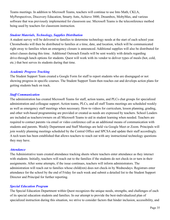Teams meetings. In addition to Microsoft Teams, teachers will continue to use Into Math, CKLA, MyPerspectives, Discovery Education, Smarty Ants, Achieve 3000, Dreambox, MobyMax, and various software that was previously implemented for classroom use. Microsoft Teams is the teleconference method being used by teachers for classroom instruction.

#### *Student Materials, Technology, Supplies Distribution*

A student survey will be delivered to families to determine technology needs at the start of each school year. Chromebooks will then be distributed to families at a time, date, and location, which will be communicated right away to families when an emergency closure is announced. Additional supplies will also be distributed for select classes during this time. Additional Outreach Emails will be sent weekly with details regarding drive-through lunch options for students. Quest will work with its vendor to deliver types of meals (hot, cold, etc.) that best serves its students during that time.

#### *Academic Progress Tracking*

The Student Support Team created a Google Form for staff to report students who are disengaged or not showing progress in specific courses. The Student Support Team then reaches out and develops action plans for getting students back on track.

#### *Staff Communication*

The administration has created Microsoft Teams for staff, action teams, and PLCs chat groups for specialized administration and colleague support. Action teams, PLCs, and all staff Teams meetings are scheduled weekly as well as emergency staff meetings when necessary. How-to videos for curriculum, lesson planning, grading, and other web-based programming are provided or created as needs are expressed by teachers. School Leaders are included as teachers/owners on all Microsoft Teams to aid in student learning when needed. Teachers are required to contact parents via email or video conference call as an additional means of communication with students and parents. Weekly Department and Staff Meetings are held via Google Meet or Zoom. Principals will join weekly planning meetings scheduled by the Central Office and SPCSA and update their staff accordingly. A tech team has been established that allows teachers to reach out with any instructional technology questions they may have.

#### *Attendance*

The Administrative team created attendance tracking sheets where teachers enter attendance as they interact with students. Initially, teachers will reach out to the families if the students do not check-in or turn in their assignments. After some attempts, if the issue continues, teachers will inform administrators. The administration will reach out to families whose child(ren) does not check-in by Wednesdays. Registrars enter attendance for the school by the end of Friday for each week and submit a detailed list to the Student Support Director and Principal for further reporting.

#### *Special Education Program*

The Special Education Department within Quest recognizes the unique needs, strengths, and challenges of each of its special education students and families. In our attempt to provide the best-individualized plan of specialized instruction during this situation, we strive to consider factors that hinder inclusion, accessibility, and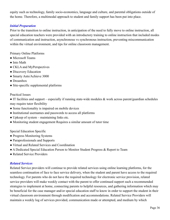equity such as technology, family socio-economics, language and culture, and parental obligations outside of the home. Therefore, a multimodal approach to student and family support has been put into place.

#### *Initial Preparation*

Prior to the transition to online instruction, in anticipation of the need to fully move to online instruction, all special education teachers were provided with an introductory training to online instruction that included modes of communication and instruction, asynchronous vs synchronous instruction, preventing miscommunication within the virtual environment, and tips for online classroom management.

Primary Online Platforms

- Microsoft Teams
- Into Math
- CKLA and MyPerspectives
- Discovery Education
- Smarty Ants/Achieve 3000
- Dreambox
- Site-specific supplemental platforms

#### Practical Issues

● IT facilities and support – especially if running state-wide modules & work across parent/guardian schedules may require tutor flexibility

- Some functionality is impaired on mobile devices
- Institutional usernames and passwords to access all platforms
- Upkeep of system maintaining links etc.
- Monitoring student engagement Requires a similar amount of tutor time

Special Education Specific

- Progress Monitoring Systems
- Paraprofessionals and Supports
- Virtual and Related Services and Coordination
- A Dedicated Special Education Person to Monitor Student Progress & Report to Team
- Related Service Providers

#### *Related Services*

Related Service providers will continue to provide related services using online learning platforms, for the seamless continuation of face to face service delivery, when the student and parent have access to the required technology. For parents who do not have the required technology for electronic service provision, related service providers will make weekly contact with the parent to offer continued support such a recommended strategies to implement at home, connecting parents to helpful resources, and gathering information which may be beneficial for the case manager and/or special education staff to know in order to support the student in their virtual classroom environment through modification and accommodations. Related Service Providers will maintain a weekly log of services provided, communication made or attempted, and medium by which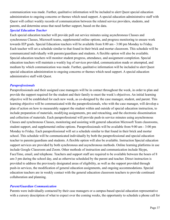communication was made. Further, qualitative information will be included to alert Quest special education administration to ongoing concerns or themes which need support. A special education administrative staff with Quest will collect weekly records of communication between the related service providers, students, and parents, and determine areas that need further support, based on the data.

#### *Special Education Teacher*

Each special education teacher will provide pull out service minutes using asynchronous Classes and synchronous Classes, Microsoft teams, supplemental online options, and progress monitoring to ensure work towards IEP goals. Special Education teachers will be available from 8:00 am - 3:00 pm Monday to Friday. Each teacher will set a schedule similar to that found in their brick and mortar classroom. This schedule will be communicated individually with parents/guardians and students. A flexible option will also be available. Special education teachers will monitor student progress, attendance, and assignment completion. Special education teachers will maintain a weekly log of services provided, communication made or attempted, and medium by which communication was made. Further, qualitative information will be included to alert Quest special education administration to ongoing concerns or themes which need support. A special education administrative staff with Quest.

#### *Paraprofessionals*

Paraprofessionals and their assigned case managers will be in contact throughout the week, in order to plan and provide the support required for the student and their family to meet the week's objectives. An initial learning objective will be established for each new week, as co-designed by the case manager, student, and parent. This learning objective will be communicated with the paraprofessionals, who with the case manager, will develop a plan of action on how to measurably support the student within and outside of special education instruction, to include preparation of materials, modifying assignments, pre and reteaching, and the electronic dissemination and collection of materials. Each paraprofessional will provide push-in service minutes using asynchronous Classes and synchronous Classes, monitoring and assisting with general education Microsoft Team classrooms, student support, and supplemental online options. Paraprofessionals will be available from 9:00 am - 3:00 pm Monday to Friday. Each paraprofessional will set a schedule similar to that found in their brick and mortar school. This schedule will be communicated individually by both the paraprofessional and special education teacher to parents/guardians and students. A flexible option will also be available. Instruction Special education support services are provided by both synchronous and asynchronous methods. Online learning platforms in use include Google Classroom and Zoom. Other methods of instruction and communication include Skype, FaceTime, email, and telephone. Teachers and support staff are required to be available between the hours of 8 am-3 pm during the school day, and as otherwise scheduled by the parent and teacher. Direct instruction is provided to address the previously designated areas of eligibility, as well as the support provided through push-in services, the modification of general education assignments, and ongoing accommodations. Special education teachers are in weekly contact with the general education classroom teachers to provide continued collaboration and planning.

#### *Parent/Guardian Communication*

Parents were individually contacted by their case managers or a campus-based special education representative with a cursory description of what to expect over the coming weeks, the opportunity to schedule a phone call for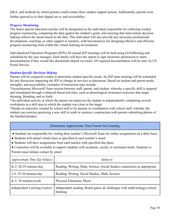Q&A, and methods by which parents could contact their campus support person. Additionally, parents were further queried as to their digital savvy and accessibility.

#### *Progress Monitoring*

The Quest special education teacher will be designated as the individual responsible for collecting weekly progress monitoring, comparing the data against the student's goals, and ensuring that intervention decision making reflects the needs based on the data. This individual will also provide any necessary professional development, coaching, or other support to teachers, with best practices for designing effective and efficient progress monitoring tools within the virtual learning environment.

Individualized Education Programs (IEPs) All annual IEP meetings will be held using GoToMeeting and scheduled by the case manager. Each family will have the option to sign electronic permission to share documentation if they would like documents shared via email. All required documentation will be sent via US Postal Service.

#### *Student-Specific Decision Making*

Parents will be contacted weekly to determine student-specific needs. An IEP team meeting will be scheduled for any discussion impacting the IEP or change in services or placement. Based on student and parent needs, strengths, and accessibility, examples of instruction may include:

\*Asynchronous Microsoft Team session between staff, parent, and student, whereby a specific skill is targeted and remediated through evidenced-based activities, such as phonological awareness exercises that target rhyming, blending, and so forth.

\*An individual activity in which the parent can supervise the student in independently completing several worksheets in a skill area in which the student was close to the target.

\*Hands-on materials, created by school staff or by parents in coordination with school staff, whereby the student can exercise practicing a new skill in math or sentence construction with parents submitting photos of the finished product.

#### Elementary Approximate Time Frames for Learning

● Students are responsible for visiting their teacher's Microsoft Team for online assignments on a daily basis

- Students will attend virtual class as specified in each teacher's email
- Students will have assignments from each teacher with specified due dates
- Counselors will be available to support students with academic, social, or emotional needs. Students or Parents must initiate contact by email

| Approximate Time Per Subject  | <i>Subjects</i>                                                                        |  |
|-------------------------------|----------------------------------------------------------------------------------------|--|
| K-2: $20-25$ minutes/day      | Reading, Writing, Math, Science, Social Studies connections as appropriate             |  |
| $3-5: 25-30$ minutes/day      | Reading, Writing, Social Studies, Math, Science                                        |  |
| $K-5:30$ minutes/week         | Physical Education, Music                                                              |  |
| Independent Learning (varies) | Independent reading, Board games & challenges with math/strategy/critical<br>thinking. |  |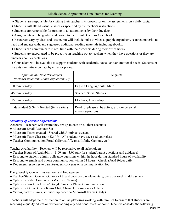#### Middle School Approximate Time Frames for Learning

- Students are responsible for visiting their teacher's Microsoft for online assignments on a daily basis.
- Students will attend virtual classes as specified by the teacher's instructions.
- Students are responsible for turning in all assignments by their due date.
- Assignments will be graded and posted to the Infinite Campus Gradebook.
- Resources vary by class and lesson, but will include links to videos, graphic organizers, scanned material to read and engage with, and suggested additional reading materials including ebooks.
- Students can communicate in real time with their teachers during their office hours.
- Students are encouraged to be proactive in reaching out to teachers when they have questions or they are unclear about expectations.
- Counselors will be available to support students with academic, social, and/or emotional needs. Students or Parents can initiate contact by email or phone.

| Approximate Time Per Subject<br>(includes synchronous and asynchronous) | Subjects                                                             |
|-------------------------------------------------------------------------|----------------------------------------------------------------------|
| 60 minutes/day                                                          | English Language Arts, Math                                          |
| 45 minutes/day                                                          | Science, Social Studies                                              |
| 15 minutes/day                                                          | Electives, Leadership                                                |
| Independent & Self-Directed (time varies)                               | Read for pleasure, be active, explore personal<br>interests/passions |

#### *Summary of Teacher Expectations*

Accounts - Teachers will ensure they are up to date on all their accounts

- Microsoft Email Accounts Set
- Microsoft Teams created Shared with Admin as owners
- Microsoft Team Classroom Set-Up All students have accessed your class
- Teacher Communication Portal (Microsoft Teams, Infinite Campus, etc.)

Teacher Availability - Teachers will be responsive to all stakeholders

- Teacher Hours of Availability 8:00 am 3:00 pm (for student/parent questions and guidance)
- Respond to student, admin, colleague questions within the hour during standard hours of availability
- Respond to emails and phone communication within 24 hours Check SPAM folder daily
- Document responses to parent/student concerns on a communication log

Daily/Weekly Contact, Instruction, and Engagement

- Teacher/Student Contact Options At least once per day elementary, once per week middle school
- Option 1 Video Conference (Microsoft Teams)
- Option 2 Work Packets w/ Google Voice or Phone Communication
- Option 3 Online Chat (Teams Chat, Channel discussion, or Other)
- Videos, packets, links, activities uploaded to Microsoft Teams (Daily)

Teachers will adapt their instruction to online platforms working with families to ensure that students are receiving a quality education without adding any additional stress at home. Teachers consider the following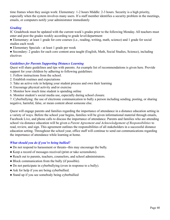time frames when they assign work: Elementary: 1-2 hours Middle: 2-3 hours. Security is a high priority, especially when the system involves many users. If a staff member identifies a security problem in the meetings, emails, or computers notify your administrator immediately

#### *Grading*

IC Gradebook must be updated with the current week's grades prior to the following Monday. All teachers must enter and post the grades weekly according to grade level/department

● Elementary: at least 1 grade for core courses (i.e., reading, writing, math, science) and 1 grade for social studies each week

● Elementary Specials - at least 1 grade per week

● Secondary: 2 grades for each core content area taught (English, Math, Social Studies, Science), including electives

#### *Guidelines for Parents Supporting Distance Learning*

Quest will share guidelines and tips with parents. An example list of recommendations is given here. Provide support for your children by adhering to following guidelines:

- 1. Follow instructions from the school.
- 2. Establish routines and expectations
- 3. Take an active role in helping your student process and own their learning
- 4. Encourage physical activity and/or exercise
- 5. Monitor how much time student is spending online
- 6. Monitor student's social media use, especially during school closure.

7. Cyberbullying: the use of electronic communication to bully a person including sending, posting, or sharing negative, harmful, false, or mean content about someone else.

Quest will engage parents and families regarding the importance of attendance in a distance education setting in a variety of ways. Before the school year begins, families will be given informational material through emails, Facebook Live, and phone calls to discuss the importance of attendance. Parents and families who are attending school via distance education will be given a *Parent Agreement and Acknowledgement of Responsibilities* to read, review, and sign. This agreement outlines the responsibilities of all stakeholders in a successful distance education setting. Throughout the school year, office staff will continue to send out communications regarding the importance of attendance while learning at home.

#### *What should you do if you're being bullied?*

- Do not respond to harassment or threats--this may encourage the bully.
- Keep a record of messages received (print or take screenshots).
- Reach out to parents, teachers, counselors, and school administrators.
- Block communication from the bully (if possible).
- Do not participate in cyberbullying (even in response to a bully).
- Ask for help if you are being cyberbullied.
- Stand up if you see somebody being cyberbullied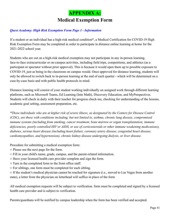### **APPENDIX A: Medical Exemption Form**

#### *Quest Academy: High Risk Exemption Form Page 1 - Information*

If a student or an individual has a high-risk medical condition\*, a Medical Certification for COVID-19 High Risk Exemption Form may be completed in order to participate in distance online learning at home for the 2021-2022 school year.

Students who are out on a high-risk medical exemption may not participate in any in-person learning, face-to-face extracurricular or on-campus activities, including field trips, competitions, and athletics (as a participant or spectator without prior approval). This is because it would open them up to possible exposure to COVID-19, just as being in the classroom on campus would. Once approved for distance learning, students will only be allowed to switch back to in-person learning at the end of each quarter - which will be determined on a case-by-case basis and with public health protocols in mind.

Distance learning will consist of your student working individually on assigned work through different learning platforms, such as Microsoft Teams, Ed Learning (Into Math), Discovery Education, and MyPerspectives. Students will check in daily with their teacher for progress check-ins, checking for understanding of the lessons, academic goal setting, assessment preparation, etc.

*\*Those individuals who are at higher risk of severe illness, as designated by the Centers for Disease Control (CDC), are those with conditions including, but not limited to, asthma, chronic lung disease, compromised immune systems (including from smoking, cancer treatment, bone marrow or organ transplantation, immune deficiencies, poorly controlled HIV or AIDS, or use of corticosteroids or other immune weakening medications), diabetes, serious heart disease (including heart failure, coronary artery disease, congenital heart disease, cardiomyopathies, and hypertension), chronic kidney disease undergoing dialysis, or liver disease.*

Procedure for submitting a medical exemption form:

- Please see the next page for the form.
- Fill in your child's name, grade, campus, and the parent-related information.
- Have your licensed health care provider complete and sign the form.
- Turn in the completed form to the front office staff.
- For siblings, one form must be completed for each sibling.

○ If the student's medical physician cannot be reached for signature (i.e., moved to Las Vegas from another state), a letter from the physician on letterhead will suffice in place of the form

All medical exemption requests will be subject to verification. form must be completed and signed by a licensed health care provider and is subject to verification.

Parents/guardians will be notified by campus leadership when the form has been verified and accepted.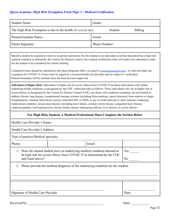#### *Quest Academy: High Risk Exemption Form Page 2 - Medical Certification*

| <b>Student Name:</b>                                                 | Grade:             |
|----------------------------------------------------------------------|--------------------|
| The High-Risk Exemption is due to the health of: <i>(circle one)</i> | Student<br>Sibling |
| Parent/Guardian Name:                                                | Email:             |
| Parent Signature:                                                    | Phone Number:      |

Should a student be required to return to in-person instruction, but the student or an individual in his/her household has a high-risk medical condition as defined by the Centers for Disease Control, this medical certification form will need to be submitted in order for the student to be considered for remote learning.

Completed forms should be submitted to the Quest Registrar office via email to m.hester@questly.com, to claim the high-risk exemption for COVID-19. Forms must be signed by a licensed health care provider and are subject to verification. Parents/Guardians will be notified when the form has been approved.

**Individual at Higher Risk:** Individuals at higher risk for severe illness from COVID-19 are those individuals with certain underlying health conditions as designated by the CDC, which provides as follows: Those individuals who are at higher risk of severe illness, as designated by the Centers for Disease Control (CDC), are those with conditions including, but not limited to, asthma, chronic lung disease, compromised immune systems (including from smoking, cancer treatment, bone marrow or organ transplantation, immune deficiencies, poorly controlled HIV or AIDS, or use of corticosteroids or other immune weakening medications), diabetes, serious heart disease (including heart failure, coronary artery disease, congenital heart disease, cardiomyopathies, and hypertension), chronic kidney disease undergoing dialysis, liver disease, or severe obesity.

#### **For High-Risk Student, a Medical Professional Must Complete the Section Below**

Health Care Provider's Name:

Health Care Provider's Address:

Type of practice/Medical specialty:

| Phone:                                                                                                                                                                  |  | Email:                |       |
|-------------------------------------------------------------------------------------------------------------------------------------------------------------------------|--|-----------------------|-------|
| 1. Does the named student have an underlying medical condition deemed to<br>be high risk for severe illness from COVID-19 as determined by the CDC<br>and listed above? |  | Yes<br>N <sub>o</sub> |       |
| 2. Please provide the medical diagnosis of the underlying condition for the student.                                                                                    |  |                       |       |
| Signature of Health Care Provider                                                                                                                                       |  |                       | Date: |

Received by: \_\_\_\_\_\_\_\_\_\_\_\_\_\_\_\_\_\_\_\_\_\_\_\_\_\_\_\_\_\_\_\_\_\_\_\_\_\_\_\_\_\_\_\_\_ Date: \_\_\_\_\_\_\_\_\_\_\_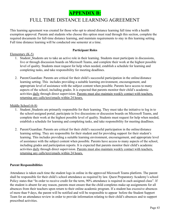

### FULL TIME DISTANCE LEARNING AGREEMENT

This learning agreement was created for those who opt to attend distance learning full time with a health exemption approval. Parents and students who choose this option must read through this section, complete the required documents for full-time distance learning, and maintain requirements to stay in this learning setting. Full time distance learning will be conducted one semester at a time.

#### **Participant Roles**

#### Elementary (K-5)

- 1. Student: Students are to take an active role in their learning. Students must participate in discussions, live or through discussion boards on Microsoft Teams, and complete their work at the highest possible level of quality. Students must request for help when needed, establish a schedule for learning and completing tasks, and take responsibility for meeting deadlines.
- 2. Parent/Guardian: Parents are critical for their child's successful participation in the online/distance learning setting. This includes providing a suitable learning environment, encouragement, and appropriate level of assistance with the subject content when possible. Parents have access to many aspects of the school, including grades. It is expected that parents monitor their child's academic activities daily through direct supervision. Parents must also maintain weekly contact with teachers, returning any calls/text/emails within 24 hours.

#### Middle School (6-8)

- 1. Student: Students are primarily responsible for their learning. They must take the initiative to log in to the school-assigned portal, participate in live discussions or discussion boards on Microsoft Teams, and complete their work at the highest possible level of quality. Students must request for help when needed, establish a schedule for learning and completing tasks, and take responsibility for meeting deadlines.
- 2. Parent/Guardian: Parents are critical for their child's successful participation in the online/distance learning setting. They are responsible for their student and for providing support for their student's learning. This includes providing a suitable learning environment, encouragement, and appropriate level of assistance with the subject content when possible. Parents have access to many aspects of the school, including grades and participation reports. It is expected that parents monitor their child's academic activities daily through direct supervision. Parents must also maintain weekly contact with teachers, returning any calls/text/emails within 24 hours.

#### **Parent Responsibilities**

Attendance is taken each time the student logs in online in the approved Microsoft Teams platform. The parent shall be responsible for their child's school attendance as required by law. Quest Preparatory Academy's school Policy states that "In order to receive credit for the term, 90% attendance is required in each assigned class". If the student is absent for any reason, parents must ensure that the child completes make-up assignments for all absences from their teachers upon return to their online academic program. If a student has excessive absences of more than 9 days, the parent will be notified and will be responsible to appear before the Student Support Team for an attendance review in order to provide information relating to their child's absences and to support prescribed activities.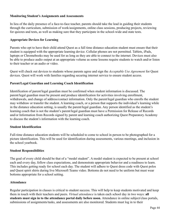#### **Monitoring Student's Assignments and Assessments**

In lieu of the daily presence of a face-to-face teacher, parents should take the lead in guiding their students through the curriculum, submission of work/assignments, online class sessions, producing projects, reviewing for quizzes and tests, as well as making sure that they participate in the school-wide and state tests.

#### **Appropriate Devices for Learning**

Parents who opt to have their child attend Quest as a full time distance education student must ensure that their student is equipped with the appropriate learning device. Cellular phones are not permitted. Tablets, iPads, laptops or Chromebooks may be used for as long as they are able to connect to the internet. Devices must also be able to produce audio output at an appropriate volume as some lessons require students to watch and/or listen to their teacher or an audio or video.

Quest will check out devices to students whose parents agree and sign the *Acceptable Use Agreement* for Quest devices. Quest will work with families regarding securing internet service to ensure student access.

#### **Parent/Legal Guardian and Learning Coach Identification**

Identification of parent/legal guardian must be confirmed when student information is discussed. The parent/legal guardian must be present and produce identification for activities involving enrollment, withdrawals, and change of address/contact information. Only the parent/legal guardian who enrolls the student may withdraw or transfer the student. A learning coach, or a person that supports the individual's learning while in the distance education setting, is usually the parent/legal guardian. Any person identified as the student's learning coach that is not the student's parent/legal guardian must have a Permission for Release of Records and/or Information from Records signed by parent and learning coach authorizing Quest Preparatory Academy to discuss the student's information with the learning coach.

#### **Student Identification**

Full-time distance education students will be scheduled to come to school in person to be photographed for a picture identification. This will be used for identification during assessments, various meetings, and inclusion in the school yearbook.

#### **Student Responsibilities**

The goal of every child should be that of a "model student". A model student is expected to be present at school each and every day, follow class expectations, and demonstrate appropriate behavior and a readiness to learn. This includes getting ready for school each day. The student will adhere to Quest dress code with Quest polos and Quest spirit shirts during live Microsoft Teams video. Bottoms do not need to be uniform but must wear bottoms appropriate for a school setting.

#### **Attendance**

Regular participation in classes is critical to student success. This will help to keep students motivated and keep them in touch with their teachers and peers. *Virtual attendance* is taken each school day in two ways: **all students must sign in to the attendance portal daily before noon.** Attendance in online subject/class portals, submissions of assignments/tasks, and assessments are also monitored. Students must log in to their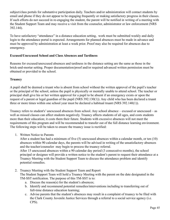subject/class portals for substantive participation daily. Teachers and/or administration will contact students by email and phone if they do not appear to be engaging frequently or making satisfactory progress in their classes. If such efforts do not succeed in re-engaging the student, the parent will be notified in writing of a meeting with the Student Support Team and may receive a visit from the counselor, administrator or law enforcement (NRS 392.144).

To have satisfactory "attendance" in a distance education setting, work must be submitted weekly and daily login to the attendance portal is expected. Arrangements for planned absences must be made in advance and must be approved by administration at least a week prior. Proof may also be required for absences due to emergency.

#### **Excused/Unexcused School and Class Absences and Tardiness**

Reasons for excused/unexcused absences and tardiness in the distance setting are the same as those in the brick-and-mortar setting. Proper documentation/proof and/or required advanced written permission must be obtained or provided to the school.

#### **Truancy**

A pupil shall be deemed a truant who is absent from school without the written approval of the pupil's teacher or the principal of the school, unless the pupil is physically or mentally unable to attend school. The teacher or principal shall give his or her written approval for a pupil to be absent if an emergency exists or upon the request of a parent or legal guardian of the pupil (NRS 392.130(1)). Any child who has been declared a truant three or more times within one school year must be declared a habitual truant (NRS 392.140(1)).

Truancy refers to student's' unexcused absences from school. Any school absence – excused or unexcused – as well as missed classes can affect students negatively. Truancy affects students of all ages, and costs students more than their education; it costs them their future. Students with excessive absences will not meet the requirements of this program and will be recommended to transfer out of the full distance learning environment. The following steps will be taken to ensure the truancy issue is rectified:

1. Written Notice to Parents

After a student has had a minimum of five (5) unexcused absences within a calendar month, or ten (10) absences within 90 calendar days, the parents will be advised in writing of the unsatisfactory absences and the teacher/counselor may begin to process the truancy referral. After 15 unexcused absences within a 90 calendar day period (3 consecutive months), the school

principal or designee will provide a written notice to the student's parent to request their attendance at a Truancy Meeting with the Student Support Team to discuss the attendance problem and identify potential remedies.

- 2. Truancy Meeting with the Student Support Team and Report The Student Support Team will hold a Truancy Meeting with the parent on the date designated in the TM-SST notification. The purpose of this TM-SST is to:
	- a. Discuss the reason(s) for the student's absences;
	- b. Identify and recommend potential remedies/interventions including to transferring out of full-time distance education learning;
	- c. Advise parents that the student's absences may result in a complaint of truancy to be filed with the Clark County Juvenile Justice Services through a referral to a social service agency (i.e. CPS).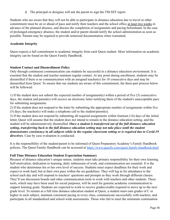d. The principal or designee will ask the parent to sign the TM-SST report.

Students who are aware that they will not be able to participate in distance education due to travel or other commitment must be on or ahead of pace and notify their teachers and the school office at least two weeks in advance of the planned absence, and discuss the completion of assignments and pacing beforehand. In the case of prolonged emergency absence, the student and/or parent should notify the school administration as soon as possible. Parents may be required to provide notarized documentation when warranted.

#### **Academic Integrity**

Quest expects a full commitment to academic integrity from each Quest student. More information on academic integrity can be found on the Quest Family Handbook.

#### **Student Contact and Disenrollment Policy**

Only through continuous communication can students be successful in a distance education environment. It is essential that the student and teacher maintain regular contact. At any point during enrollment, students may be disenrolled if there is no communication with an assigned teacher(s) for 10 consecutive days and may be disenrolled from Quest. To ensure that our students are aware of this commitment, the three-part process below will be followed:

1) If the student does not submit the expected number of assignment(s) within a period of five (5) consecutive days, the student and parent(s) will receive an electronic letter notifying them of the student's unacceptable pace for submitting assignments.

2) If the student does not respond to the letter by submitting the appropriate number of assignments within five (5) days, the teacher(s) will make a telephone call to the student/parent(s).

3) If the student does not respond by submitting all required assignments within fourteen (14) days of the initial letter, Quest will assume that the student does not intend to remain in the distance education setting, and the student will be administratively disenrolled. *Once a student is transferred out of the full distance education setting, transferring back to the full distance education setting may not take place until the student demonstrates consistency in all subjects while in the regular classroom setting or is required due to Covid-19 directives*. Case by case evaluation is conducted.

It is the responsibility of the student/parent to be informed of Quest Preparatory Academy's Family Handbook policies. The Quest Family Handbook can be accessed at https://www.questlv.com/quest-family-handbook.html

#### **Full Time Distance Education Student Expectation Summary**

Because of distance education's unique nature, students must take primary responsibility for their own learning. Self-motivation, dedication to learning, daily submission of work, and communication are essential. It is the student who determines his or her own level of success. Students must expect deadlines for their work and expect to work hard, but at their own pace within the set guidelines. They will log in for attendance to the school each day and will respond to teachers' questions and prompts as they work through different classes. They'll use discussion boards and other communication tools to work with teachers and other students. These tools, which may have been used for social purposes, will be used for genuine academic communication to support learning goals. Students are expected to work to receive grades/credits required to move up to the next grade level. To remain as a full time distance education student at Quest, a student must earn grades of C or higher in each subject, maintain consistent pacing in every class, communicate successfully with teachers, and participate in all standardized and school-wide assessments. Those who fail to meet the minimum continuation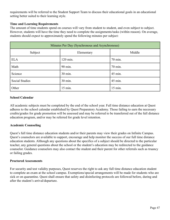requirements will be referred to the Student Support Team to discuss their educational goals in an educational setting better suited to their learning style.

#### **Time and Learning Requirements**

The amount of time students spend on courses will vary from student to student, and even subject to subject. However, students will have the time they need to complete the assignments/tasks (within reason). On average, students should expect to approximately spend the following minutes per subject:

| Minutes Per Day (Synchronous and Asynchronous) |            |         |  |
|------------------------------------------------|------------|---------|--|
| Subject                                        | Elementary | Middle  |  |
| <b>ELA</b>                                     | 120 min.   | 70 min. |  |
| Math                                           | 90 min.    | 70 min. |  |
| Science                                        | 30 min.    | 45 min. |  |
| <b>Social Studies</b>                          | 30 min.    | 45 min. |  |
| Other                                          | 15 min.    | 15 min. |  |

#### **School Calendar**

All academic subjects must be completed by the end of the school year. Full time distance education at Quest adheres to the school calendar established by Quest Preparatory Academy. Those failing to earn the necessary credits/grades for grade promotion will be assessed and may be referred to be transferred out of the full distance education program, and/or may be referred for grade level retention.

#### **Academic Counseling**

Quest's full time distance education students and/or their parents may view their grades on Infinite Campus. Quest's counselors are available to support, encourage and help monitor the success of our full time distance education students. Although any questions about the specifics of a subject should be directed to the particular teacher, any general questions about the school or the student's education may be redirected to the guidance counselor. Guidance counselors may also contact the student and their parent for other referrals such as truancy or failing grades.

#### **Proctored Assessments**

For security and test validity purposes, Quest reserves the right to ask any full time distance education student to complete an exam at the school campus. Exemptions/special arrangements will be made for students who are sick or on quarantine. Quest shall ensure that safety and disinfecting protocols are followed before, during and after the student's arrival/departure.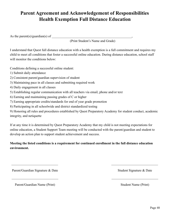### **Parent Agreement and Acknowledgement of Responsibilities Health Exemption Full Distance Education**

As the parent(s)/guardian(s) of

(Print Student's Name and Grade)

I understand that Quest full distance education with a health exemption is a full commitment and requires my child to meet all conditions that foster a successful online education. During distance education, school staff will monitor the conditions below:

Conditions defining a successful online student:

- 1) Submit daily attendance
- 2) Consistent parent/guardian supervision of student
- 3) Maintaining pace in all classes and submitting required work
- 4) Daily engagement in all classes
- 5) Establishing regular communication with all teachers via email, phone and/or text
- 6) Earning and maintaining passing grades of C or higher
- 7) Earning appropriate credits/standards for end of year grade promotion
- 8) Participating in all schoolwide and district standardized testing

9) Honoring all rules and procedures established by Quest Preparatory Academy for student conduct, academic integrity, and netiquette

If at any time it is determined by Quest Preparatory Academy that my child is not meeting expectations for online education, a Student Support Team meeting will be conducted with the parent/guardian and student to develop an action plan to support student achievement and success.

#### **Meeting the listed conditions is a requirement for continued enrollment in the full distance education environment.**

 $\mathcal{L}_\text{max} = \frac{1}{2} \sum_{i=1}^n \mathcal{L}_\text{max}(\mathbf{z}_i - \mathbf{z}_i)$ 

 $\mathcal{L}_\text{max} = \frac{1}{2} \sum_{i=1}^n \mathcal{L}_\text{max}(\mathbf{z}_i - \mathbf{z}_i)$ 

Parent/Guardian Signature & Date Student Signature & Date Student Signature & Date

Parent/Guardian Name (Print) Student Name (Print)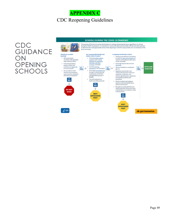### **APPENDIX C** CDC Reopening Guidelines

## CDC<br>GUIDANCE ON **OPENING SCHOOLS**